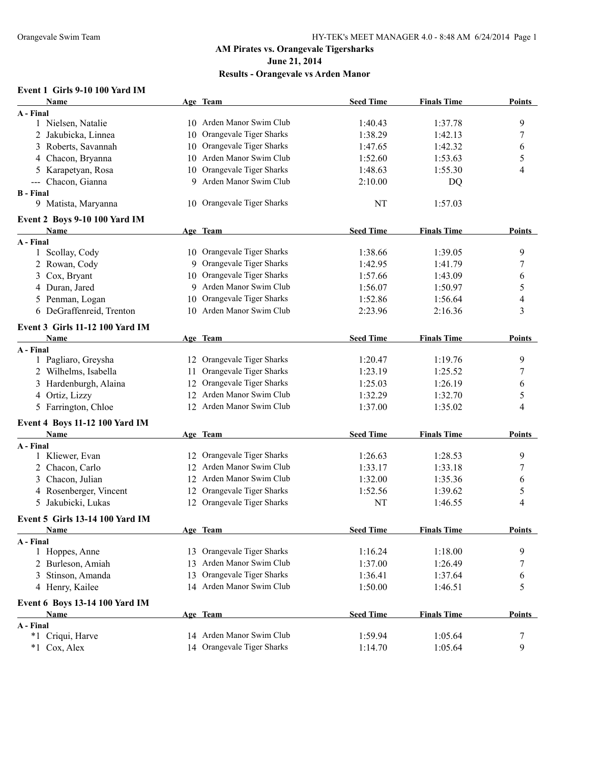**Results - Orangevale vs Arden Manor**

## **Event 1 Girls 9-10 100 Yard IM**

| Name                                   |    | Age Team                   | <b>Seed Time</b> | <b>Finals Time</b> | <b>Points</b> |
|----------------------------------------|----|----------------------------|------------------|--------------------|---------------|
| A - Final                              |    |                            |                  |                    |               |
| 1 Nielsen, Natalie                     |    | 10 Arden Manor Swim Club   | 1:40.43          | 1:37.78            | 9             |
| 2 Jakubicka, Linnea                    |    | 10 Orangevale Tiger Sharks | 1:38.29          | 1:42.13            | 7             |
| 3 Roberts, Savannah                    |    | 10 Orangevale Tiger Sharks | 1:47.65          | 1:42.32            | 6             |
| 4 Chacon, Bryanna                      |    | 10 Arden Manor Swim Club   | 1:52.60          | 1:53.63            | 5             |
| 5 Karapetyan, Rosa                     |    | 10 Orangevale Tiger Sharks | 1:48.63          | 1:55.30            | 4             |
| --- Chacon, Gianna                     |    | 9 Arden Manor Swim Club    | 2:10.00          | DQ                 |               |
| <b>B</b> - Final                       |    |                            |                  |                    |               |
| 9 Matista, Maryanna                    |    | 10 Orangevale Tiger Sharks | NT               | 1:57.03            |               |
| Event 2 Boys 9-10 100 Yard IM          |    |                            |                  |                    |               |
| Name                                   |    | Age Team                   | <b>Seed Time</b> | <b>Finals Time</b> | <b>Points</b> |
| A - Final                              |    |                            |                  |                    |               |
| 1 Scollay, Cody                        |    | 10 Orangevale Tiger Sharks | 1:38.66          | 1:39.05            | 9             |
| 2 Rowan, Cody                          |    | 9 Orangevale Tiger Sharks  | 1:42.95          | 1:41.79            | 7             |
| 3 Cox, Bryant                          |    | 10 Orangevale Tiger Sharks | 1:57.66          | 1:43.09            | 6             |
| 4 Duran, Jared                         |    | 9 Arden Manor Swim Club    | 1:56.07          | 1:50.97            | 5             |
| 5 Penman, Logan                        | 10 | Orangevale Tiger Sharks    | 1:52.86          | 1:56.64            | 4             |
| 6 DeGraffenreid, Trenton               |    | 10 Arden Manor Swim Club   | 2:23.96          | 2:16.36            | 3             |
| Event 3 Girls 11-12 100 Yard IM        |    |                            |                  |                    |               |
| <b>Name</b>                            |    | Age Team                   | <b>Seed Time</b> | <b>Finals Time</b> | <b>Points</b> |
| A - Final                              |    |                            |                  |                    |               |
| 1 Pagliaro, Greysha                    |    | 12 Orangevale Tiger Sharks | 1:20.47          | 1:19.76            | 9             |
| 2 Wilhelms, Isabella                   | 11 | Orangevale Tiger Sharks    | 1:23.19          | 1:25.52            | 7             |
| 3 Hardenburgh, Alaina                  |    | 12 Orangevale Tiger Sharks | 1:25.03          | 1:26.19            | 6             |
| 4 Ortiz, Lizzy                         |    | 12 Arden Manor Swim Club   | 1:32.29          | 1:32.70            | 5             |
| 5 Farrington, Chloe                    |    | 12 Arden Manor Swim Club   | 1:37.00          | 1:35.02            | 4             |
|                                        |    |                            |                  |                    |               |
| Event 4 Boys 11-12 100 Yard IM         |    |                            | <b>Seed Time</b> | <b>Finals Time</b> |               |
| Name<br>A - Final                      |    | Age Team                   |                  |                    | <b>Points</b> |
| 1 Kliewer, Evan                        |    | 12 Orangevale Tiger Sharks | 1:26.63          | 1:28.53            | 9             |
| 2 Chacon, Carlo                        |    | 12 Arden Manor Swim Club   | 1:33.17          | 1:33.18            | 7             |
| 3 Chacon, Julian                       |    | 12 Arden Manor Swim Club   | 1:32.00          | 1:35.36            | 6             |
| 4 Rosenberger, Vincent                 | 12 | Orangevale Tiger Sharks    | 1:52.56          | 1:39.62            | 5             |
| 5 Jakubicki, Lukas                     | 12 | Orangevale Tiger Sharks    | NT               | 1:46.55            | 4             |
|                                        |    |                            |                  |                    |               |
| <b>Event 5 Girls 13-14 100 Yard IM</b> |    |                            |                  |                    |               |
| <b>Name</b>                            |    | Age Team                   | <b>Seed Time</b> | <b>Finals Time</b> | <b>Points</b> |
| A - Final                              |    | 13 Orangevale Tiger Sharks | 1:16.24          | 1:18.00            | 9             |
| 1 Hoppes, Anne<br>2 Burleson, Amiah    |    | 13 Arden Manor Swim Club   |                  |                    |               |
|                                        |    | Orangevale Tiger Sharks    | 1:37.00          | 1:26.49            | 7             |
| 3 Stinson, Amanda                      | 13 | 14 Arden Manor Swim Club   | 1:36.41          | 1:37.64            | 6             |
| 4 Henry, Kailee                        |    |                            | 1:50.00          | 1:46.51            | 5             |
| Event 6 Boys 13-14 100 Yard IM         |    |                            |                  |                    |               |
| Name                                   |    | Age Team                   | <b>Seed Time</b> | <b>Finals Time</b> | <b>Points</b> |
| A - Final<br>Criqui, Harve<br>*1       |    | 14 Arden Manor Swim Club   | 1:59.94          | 1:05.64            | 7             |
| *1 Cox, Alex                           |    | 14 Orangevale Tiger Sharks | 1:14.70          | 1:05.64            | 9             |
|                                        |    |                            |                  |                    |               |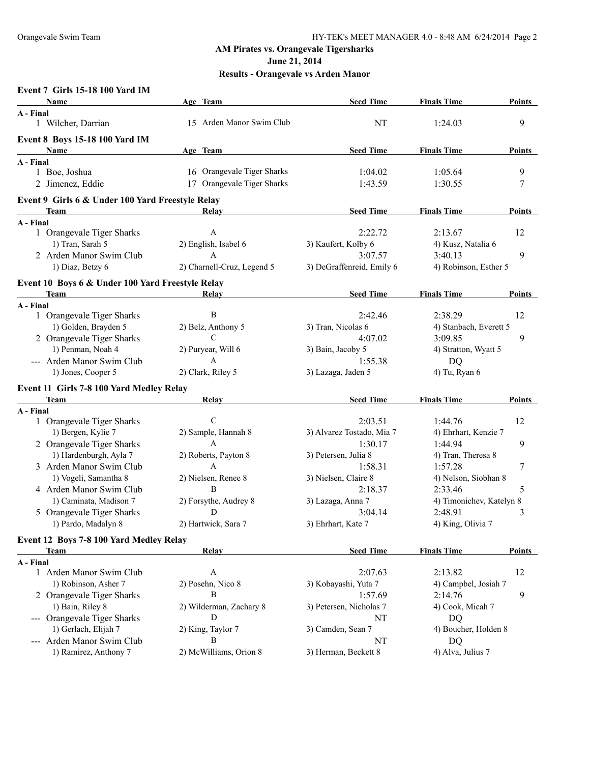**June 21, 2014**

| <b>Event 7 Girls 15-18 100 Yard IM</b> |  |  |  |
|----------------------------------------|--|--|--|
|----------------------------------------|--|--|--|

| Name                                             | Age Team                   | <b>Seed Time</b>          | <b>Finals Time</b>       | <b>Points</b> |
|--------------------------------------------------|----------------------------|---------------------------|--------------------------|---------------|
| A - Final                                        |                            |                           |                          |               |
| 1 Wilcher, Darrian                               | 15 Arden Manor Swim Club   | NT                        | 1:24.03                  | 9             |
| <b>Event 8 Boys 15-18 100 Yard IM</b>            |                            |                           |                          |               |
| Name                                             | Age Team                   | <b>Seed Time</b>          | <b>Finals Time</b>       | <b>Points</b> |
| A - Final                                        |                            |                           |                          |               |
| 1 Boe, Joshua                                    | 16 Orangevale Tiger Sharks | 1:04.02                   | 1:05.64                  | 9             |
| 2 Jimenez, Eddie                                 | 17 Orangevale Tiger Sharks | 1:43.59                   | 1:30.55                  | 7             |
| Event 9 Girls 6 & Under 100 Yard Freestyle Relay |                            |                           |                          |               |
| <b>Team</b>                                      | Relay                      | <b>Seed Time</b>          | <b>Finals Time</b>       | <b>Points</b> |
| A - Final                                        |                            |                           |                          |               |
| 1 Orangevale Tiger Sharks                        | A                          | 2:22.72                   | 2:13.67                  | 12            |
| 1) Tran, Sarah 5                                 | 2) English, Isabel 6       | 3) Kaufert, Kolby 6       | 4) Kusz, Natalia 6       |               |
| 2 Arden Manor Swim Club                          | $\mathbf{A}$               | 3:07.57                   | 3:40.13                  | 9             |
| 1) Diaz, Betzy 6                                 | 2) Charnell-Cruz, Legend 5 | 3) DeGraffenreid, Emily 6 | 4) Robinson, Esther 5    |               |
| Event 10 Boys 6 & Under 100 Yard Freestyle Relay |                            |                           |                          |               |
| Team                                             | Relay                      | <b>Seed Time</b>          | <b>Finals Time</b>       | <b>Points</b> |
| A - Final                                        |                            |                           |                          |               |
| 1 Orangevale Tiger Sharks                        | $\, {\bf B}$               | 2:42.46                   | 2:38.29                  | 12            |
| 1) Golden, Brayden 5                             | 2) Belz, Anthony 5         | 3) Tran, Nicolas 6        | 4) Stanbach, Everett 5   |               |
| 2 Orangevale Tiger Sharks                        | $\mathcal{C}$              | 4:07.02                   | 3:09.85                  | 9             |
| 1) Penman, Noah 4                                | 2) Puryear, Will 6         | 3) Bain, Jacoby 5         | 4) Stratton, Wyatt 5     |               |
| --- Arden Manor Swim Club                        | $\mathbf{A}$               | 1:55.38                   | DQ                       |               |
| 1) Jones, Cooper 5                               | 2) Clark, Riley 5          | 3) Lazaga, Jaden 5        | 4) Tu, Ryan 6            |               |
|                                                  |                            |                           |                          |               |
| Event 11 Girls 7-8 100 Yard Medley Relay<br>Team | Relay                      | <b>Seed Time</b>          | <b>Finals Time</b>       | <b>Points</b> |
| A - Final                                        |                            |                           |                          |               |
| 1 Orangevale Tiger Sharks                        | $\mathcal{C}$              | 2:03.51                   | 1:44.76                  | 12            |
| 1) Bergen, Kylie 7                               | 2) Sample, Hannah 8        | 3) Alvarez Tostado, Mia 7 | 4) Ehrhart, Kenzie 7     |               |
| 2 Orangevale Tiger Sharks                        | A                          | 1:30.17                   | 1:44.94                  | 9             |
| 1) Hardenburgh, Ayla 7                           | 2) Roberts, Payton 8       | 3) Petersen, Julia 8      | 4) Tran, Theresa 8       |               |
| 3 Arden Manor Swim Club                          | A                          | 1:58.31                   | 1:57.28                  | 7             |
| 1) Vogeli, Samantha 8                            | 2) Nielsen, Renee 8        | 3) Nielsen, Claire 8      | 4) Nelson, Siobhan 8     |               |
| 4 Arden Manor Swim Club                          | B                          | 2:18.37                   | 2:33.46                  | 5             |
| 1) Caminata, Madison 7                           | 2) Forsythe, Audrey 8      | 3) Lazaga, Anna 7         | 4) Timonichev, Katelyn 8 |               |
| 5 Orangevale Tiger Sharks                        | D                          | 3:04.14                   | 2:48.91                  | 3             |
|                                                  | 2) Hartwick, Sara 7        | 3) Ehrhart, Kate 7        |                          |               |
| 1) Pardo, Madalyn 8                              |                            |                           | 4) King, Olivia 7        |               |
| Event 12 Boys 7-8 100 Yard Medley Relay          |                            |                           |                          |               |
| <b>Team</b>                                      | Relay                      | <b>Seed Time</b>          | <b>Finals Time</b>       | <b>Points</b> |
| A - Final                                        |                            |                           |                          |               |
| 1 Arden Manor Swim Club                          | A                          | 2:07.63                   | 2:13.82                  | 12            |
| 1) Robinson, Asher 7                             | 2) Posehn, Nico 8          | 3) Kobayashi, Yuta 7      | 4) Campbel, Josiah 7     |               |
| 2 Orangevale Tiger Sharks                        | B                          | 1:57.69                   | 2:14.76                  | 9             |
| 1) Bain, Riley 8                                 | 2) Wilderman, Zachary 8    | 3) Petersen, Nicholas 7   | 4) Cook, Micah 7         |               |
| --- Orangevale Tiger Sharks                      | D                          | NT                        | DQ                       |               |
| 1) Gerlach, Elijah 7                             | 2) King, Taylor 7          | 3) Camden, Sean 7         | 4) Boucher, Holden 8     |               |
| --- Arden Manor Swim Club                        | B                          | NT                        | DQ                       |               |
| 1) Ramirez, Anthony 7                            | 2) McWilliams, Orion 8     | 3) Herman, Beckett 8      | 4) Alva, Julius 7        |               |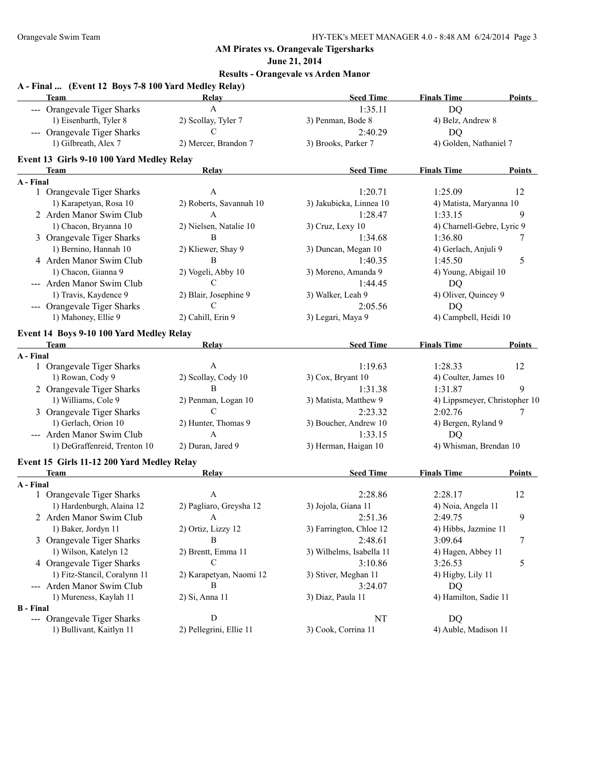**June 21, 2014**

| A - Final  (Event 12 Boys 7-8 100 Yard Medley Relay)<br>Team | Relay                   | <b>Seed Time</b>         | <b>Finals Time</b>            | <b>Points</b> |
|--------------------------------------------------------------|-------------------------|--------------------------|-------------------------------|---------------|
| --- Orangevale Tiger Sharks                                  | $\mathbf{A}$            | 1:35.11                  | <b>DQ</b>                     |               |
| 1) Eisenbarth, Tyler 8                                       | 2) Scollay, Tyler 7     | 3) Penman, Bode 8        | 4) Belz, Andrew 8             |               |
| --- Orangevale Tiger Sharks                                  | $\mathcal{C}$           | 2:40.29                  | <b>DQ</b>                     |               |
| 1) Gilbreath, Alex 7                                         | 2) Mercer, Brandon 7    | 3) Brooks, Parker 7      | 4) Golden, Nathaniel 7        |               |
| Event 13 Girls 9-10 100 Yard Medley Relay                    |                         |                          |                               |               |
| Team                                                         | <b>Relay</b>            | <b>Seed Time</b>         | <b>Finals Time</b>            | Points        |
| A - Final                                                    |                         |                          |                               |               |
| 1 Orangevale Tiger Sharks                                    | $\mathbf{A}$            | 1:20.71                  | 1:25.09                       | 12            |
| 1) Karapetyan, Rosa 10                                       | 2) Roberts, Savannah 10 | 3) Jakubicka, Linnea 10  | 4) Matista, Maryanna 10       |               |
| 2 Arden Manor Swim Club                                      | $\mathbf{A}$            | 1:28.47                  | 1:33.15                       | 9             |
| 1) Chacon, Bryanna 10                                        | 2) Nielsen, Natalie 10  | 3) Cruz, Lexy 10         | 4) Charnell-Gebre, Lyric 9    |               |
| 3 Orangevale Tiger Sharks                                    | B                       | 1:34.68                  | 1:36.80                       | 7             |
| 1) Bernino, Hannah 10                                        | 2) Kliewer, Shay 9      | 3) Duncan, Megan 10      | 4) Gerlach, Anjuli 9          |               |
| 4 Arden Manor Swim Club                                      | B                       | 1:40.35                  | 1:45.50                       | 5             |
| 1) Chacon, Gianna 9                                          | 2) Vogeli, Abby 10      | 3) Moreno, Amanda 9      | 4) Young, Abigail 10          |               |
| --- Arden Manor Swim Club                                    | C                       | 1:44.45                  | DQ                            |               |
| 1) Travis, Kaydence 9                                        | 2) Blair, Josephine 9   | 3) Walker, Leah 9        | 4) Oliver, Quincey 9          |               |
| --- Orangevale Tiger Sharks                                  | C                       | 2:05.56                  | DQ                            |               |
| 1) Mahoney, Ellie 9                                          | 2) Cahill, Erin 9       | 3) Legari, Maya 9        | 4) Campbell, Heidi 10         |               |
| Event 14 Boys 9-10 100 Yard Medley Relay                     |                         |                          |                               |               |
| Team                                                         | Relay                   | <b>Seed Time</b>         | <b>Finals Time</b>            | Points        |
| A - Final                                                    |                         |                          |                               |               |
| 1 Orangevale Tiger Sharks                                    | $\mathbf{A}$            | 1:19.63                  | 1:28.33                       | 12            |
| 1) Rowan, Cody 9                                             | 2) Scollay, Cody 10     | 3) Cox, Bryant 10        | 4) Coulter, James 10          |               |
| 2 Orangevale Tiger Sharks                                    | B                       | 1:31.38                  | 1:31.87                       | 9             |
| 1) Williams, Cole 9                                          | 2) Penman, Logan 10     | 3) Matista, Matthew 9    | 4) Lippsmeyer, Christopher 10 |               |
| 3 Orangevale Tiger Sharks                                    | $\mathcal{C}$           | 2:23.32                  | 2:02.76                       | 7             |
| 1) Gerlach, Orion 10                                         | 2) Hunter, Thomas 9     | 3) Boucher, Andrew 10    | 4) Bergen, Ryland 9           |               |
| --- Arden Manor Swim Club                                    | $\mathsf{A}$            | 1:33.15                  | <b>DQ</b>                     |               |
| 1) DeGraffenreid, Trenton 10                                 | 2) Duran, Jared 9       | 3) Herman, Haigan 10     | 4) Whisman, Brendan 10        |               |
| Event 15 Girls 11-12 200 Yard Medley Relay                   |                         |                          |                               |               |
| <b>Team</b>                                                  | <b>Relay</b>            | <b>Seed Time</b>         | <b>Finals Time</b>            | Points        |
| A - Final                                                    |                         |                          |                               |               |
| 1 Orangevale Tiger Sharks                                    | A                       | 2:28.86                  | 2:28.17                       | 12            |
| 1) Hardenburgh, Alaina 12                                    | 2) Pagliaro, Greysha 12 | 3) Jojola, Giana 11      | 4) Noia, Angela 11            |               |
| 2 Arden Manor Swim Club                                      | A                       | 2:51.36                  | 2:49.75                       | 9             |
| 1) Baker, Jordyn 11                                          | 2) Ortiz, Lizzy 12      | 3) Farrington, Chloe 12  | 4) Hibbs, Jazmine 11          |               |
| 3 Orangevale Tiger Sharks                                    | B                       | 2:48.61                  | 3:09.64                       | 7             |
| 1) Wilson, Katelyn 12                                        | 2) Brentt, Emma 11      | 3) Wilhelms, Isabella 11 | 4) Hagen, Abbey 11            |               |
| 4 Orangevale Tiger Sharks                                    | C                       | 3:10.86                  | 3:26.53                       | 5             |
| 1) Fitz-Stancil, Coralynn 11                                 | 2) Karapetyan, Naomi 12 | 3) Stiver, Meghan 11     | 4) Higby, Lily 11             |               |
| --- Arden Manor Swim Club                                    | B                       | 3:24.07                  | DQ                            |               |
| 1) Mureness, Kaylah 11                                       | 2) Si, Anna 11          | 3) Diaz, Paula 11        | 4) Hamilton, Sadie 11         |               |
| <b>B</b> - Final                                             |                         |                          |                               |               |
| --- Orangevale Tiger Sharks                                  | D                       | NT                       | DQ                            |               |
| 1) Bullivant, Kaitlyn 11                                     | 2) Pellegrini, Ellie 11 | 3) Cook, Corrina 11      | 4) Auble, Madison 11          |               |
|                                                              |                         |                          |                               |               |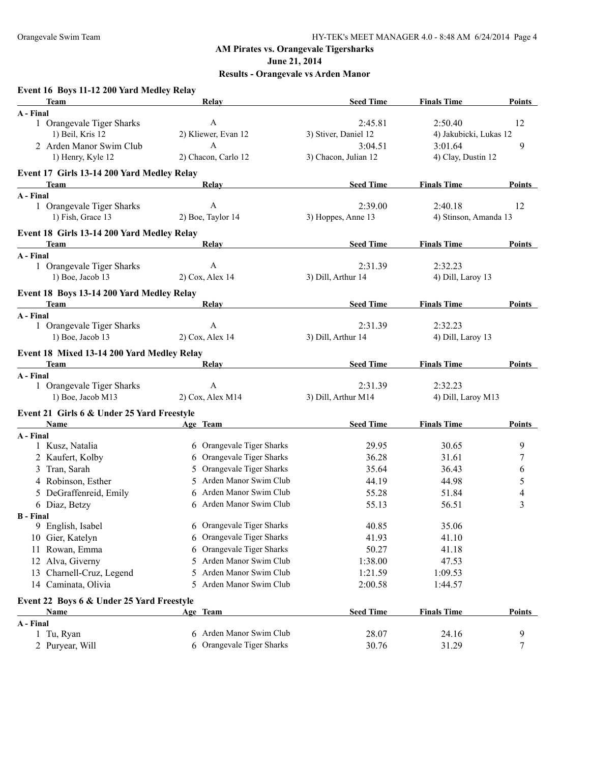**June 21, 2014**

## **Results - Orangevale vs Arden Manor**

## **Event 16 Boys 11-12 200 Yard Medley Relay**

| Team                                       | <b>Relay</b>                  | <b>Seed Time</b>     | <b>Finals Time</b>     | <b>Points</b> |
|--------------------------------------------|-------------------------------|----------------------|------------------------|---------------|
| A - Final                                  |                               |                      |                        |               |
| 1 Orangevale Tiger Sharks                  | $\boldsymbol{A}$              | 2:45.81              | 2:50.40                | 12            |
| 1) Beil, Kris 12                           | 2) Kliewer, Evan 12           | 3) Stiver, Daniel 12 | 4) Jakubicki, Lukas 12 |               |
| 2 Arden Manor Swim Club                    | A                             | 3:04.51              | 3:01.64                | 9             |
| 1) Henry, Kyle 12                          | 2) Chacon, Carlo 12           | 3) Chacon, Julian 12 | 4) Clay, Dustin 12     |               |
| Event 17 Girls 13-14 200 Yard Medley Relay |                               |                      |                        |               |
| Team                                       | Relay                         | <b>Seed Time</b>     | <b>Finals Time</b>     | Points        |
| A - Final                                  |                               |                      |                        |               |
| 1 Orangevale Tiger Sharks                  | $\boldsymbol{A}$              | 2:39.00              | 2:40.18                | 12            |
| 1) Fish, Grace 13                          | 2) Boe, Taylor 14             | 3) Hoppes, Anne 13   | 4) Stinson, Amanda 13  |               |
| Event 18 Girls 13-14 200 Yard Medley Relay |                               |                      |                        |               |
| Team                                       | Relay                         | <b>Seed Time</b>     | <b>Finals Time</b>     | Points        |
| A - Final                                  |                               |                      |                        |               |
| 1 Orangevale Tiger Sharks                  | $\mathbf{A}$                  | 2:31.39              | 2:32.23                |               |
| 1) Boe, Jacob 13                           | 2) Cox, Alex 14               | 3) Dill, Arthur 14   | 4) Dill, Laroy 13      |               |
| Event 18 Boys 13-14 200 Yard Medley Relay  |                               |                      |                        |               |
| <b>Team</b>                                | Relay                         | <b>Seed Time</b>     | <b>Finals Time</b>     | <b>Points</b> |
| A - Final                                  |                               |                      |                        |               |
| 1 Orangevale Tiger Sharks                  | A                             | 2:31.39              | 2:32.23                |               |
| 1) Boe, Jacob 13                           | 2) Cox, Alex 14               | 3) Dill, Arthur 14   | 4) Dill, Laroy 13      |               |
| Event 18 Mixed 13-14 200 Yard Medley Relay |                               |                      |                        |               |
| <b>Team</b>                                | Relay                         | <b>Seed Time</b>     | <b>Finals Time</b>     | <b>Points</b> |
| A - Final                                  |                               |                      |                        |               |
| 1 Orangevale Tiger Sharks                  | $\mathbf{A}$                  | 2:31.39              | 2:32.23                |               |
| 1) Boe, Jacob M13                          | 2) Cox, Alex M14              | 3) Dill, Arthur M14  | 4) Dill, Laroy M13     |               |
| Event 21 Girls 6 & Under 25 Yard Freestyle |                               |                      |                        |               |
| Name                                       | Age Team                      | <b>Seed Time</b>     | <b>Finals Time</b>     | <b>Points</b> |
| A - Final                                  |                               |                      |                        |               |
| 1 Kusz, Natalia                            | 6 Orangevale Tiger Sharks     | 29.95                | 30.65                  | 9             |
| 2 Kaufert, Kolby                           | Orangevale Tiger Sharks<br>6  | 36.28                | 31.61                  | 7             |
| 3 Tran, Sarah                              | Orangevale Tiger Sharks<br>5. | 35.64                | 36.43                  | 6             |
| 4 Robinson, Esther                         | Arden Manor Swim Club<br>5.   | 44.19                | 44.98                  | 5             |
| 5 DeGraffenreid, Emily                     | Arden Manor Swim Club<br>6    | 55.28                | 51.84                  | 4             |
| 6 Diaz, Betzy                              | 6 Arden Manor Swim Club       | 55.13                | 56.51                  | 3             |
| <b>B</b> - Final                           |                               |                      |                        |               |
| 9 English, Isabel                          | 6 Orangevale Tiger Sharks     | 40.85                | 35.06                  |               |
| 10 Gier, Katelyn                           | Orangevale Tiger Sharks<br>6  | 41.93                | 41.10                  |               |
| 11 Rowan, Emma                             | Orangevale Tiger Sharks<br>6  | 50.27                | 41.18                  |               |
| Alva, Giverny<br>12                        | Arden Manor Swim Club<br>5    | 1:38.00              | 47.53                  |               |
| 13 Charnell-Cruz, Legend                   | Arden Manor Swim Club<br>5    | 1:21.59              | 1:09.53                |               |
| 14 Caminata, Olivia                        | Arden Manor Swim Club<br>5.   | 2:00.58              | 1:44.57                |               |
| Event 22 Boys 6 & Under 25 Yard Freestyle  |                               |                      |                        |               |
| Name                                       | Age Team                      | <b>Seed Time</b>     | <b>Finals Time</b>     | <b>Points</b> |
| A - Final                                  |                               |                      |                        |               |
| 1 Tu, Ryan                                 | 6 Arden Manor Swim Club       | 28.07                | 24.16                  | 9             |
| 2 Puryear, Will                            | Orangevale Tiger Sharks<br>6  | 30.76                | 31.29                  | 7             |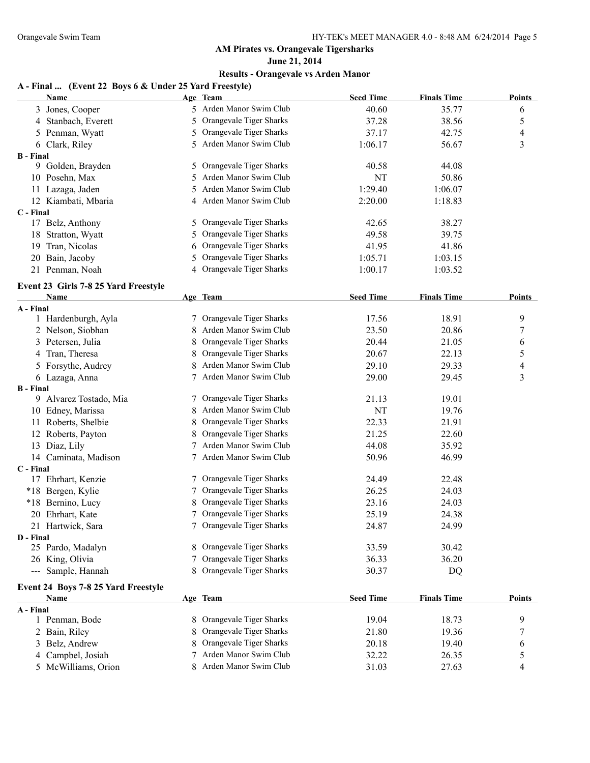**June 21, 2014**

## **Results - Orangevale vs Arden Manor**

#### **A - Final ... (Event 22 Boys 6 & Under 25 Yard Freestyle)**

|                  | <b>Name</b>                          |    | Age Team                  | <b>Seed Time</b> | <b>Finals Time</b> | <b>Points</b> |
|------------------|--------------------------------------|----|---------------------------|------------------|--------------------|---------------|
|                  | 3 Jones, Cooper                      |    | 5 Arden Manor Swim Club   | 40.60            | 35.77              | 6             |
|                  | 4 Stanbach, Everett                  | 5  | Orangevale Tiger Sharks   | 37.28            | 38.56              | 5             |
|                  | 5 Penman, Wyatt                      | 5  | Orangevale Tiger Sharks   | 37.17            | 42.75              | 4             |
|                  | 6 Clark, Riley                       | 5. | Arden Manor Swim Club     | 1:06.17          | 56.67              | 3             |
| <b>B</b> - Final |                                      |    |                           |                  |                    |               |
|                  | 9 Golden, Brayden                    | 5  | Orangevale Tiger Sharks   | 40.58            | 44.08              |               |
|                  | 10 Posehn, Max                       | 5  | Arden Manor Swim Club     | <b>NT</b>        | 50.86              |               |
|                  | 11 Lazaga, Jaden                     | 5. | Arden Manor Swim Club     | 1:29.40          | 1:06.07            |               |
|                  | 12 Kiambati, Mbaria                  |    | 4 Arden Manor Swim Club   | 2:20.00          | 1:18.83            |               |
| C - Final        |                                      |    |                           |                  |                    |               |
|                  | 17 Belz, Anthony                     | 5. | Orangevale Tiger Sharks   | 42.65            | 38.27              |               |
|                  | 18 Stratton, Wyatt                   | 5  | Orangevale Tiger Sharks   | 49.58            | 39.75              |               |
|                  | 19 Tran, Nicolas                     | 6  | Orangevale Tiger Sharks   | 41.95            | 41.86              |               |
|                  | 20 Bain, Jacoby                      | 5  | Orangevale Tiger Sharks   | 1:05.71          | 1:03.15            |               |
|                  | 21 Penman, Noah                      |    | 4 Orangevale Tiger Sharks | 1:00.17          | 1:03.52            |               |
|                  | Event 23 Girls 7-8 25 Yard Freestyle |    |                           |                  |                    |               |
|                  | Name                                 |    | Age Team                  | <b>Seed Time</b> | <b>Finals Time</b> | <b>Points</b> |
| A - Final        |                                      |    |                           |                  |                    |               |
|                  | 1 Hardenburgh, Ayla                  |    | Orangevale Tiger Sharks   | 17.56            | 18.91              | 9             |
|                  | 2 Nelson, Siobhan                    | 8  | Arden Manor Swim Club     | 23.50            | 20.86              | 7             |
|                  | 3 Petersen, Julia                    | 8  | Orangevale Tiger Sharks   | 20.44            | 21.05              | 6             |
|                  | 4 Tran, Theresa                      | 8  | Orangevale Tiger Sharks   | 20.67            | 22.13              | 5             |
|                  | 5 Forsythe, Audrey                   |    | Arden Manor Swim Club     | 29.10            | 29.33              | 4             |
|                  | 6 Lazaga, Anna                       | 7  | Arden Manor Swim Club     | 29.00            | 29.45              | 3             |
| <b>B</b> - Final |                                      |    |                           |                  |                    |               |
|                  | 9 Alvarez Tostado, Mia               | 7  | Orangevale Tiger Sharks   | 21.13            | 19.01              |               |
|                  | 10 Edney, Marissa                    | 8  | Arden Manor Swim Club     | NT               | 19.76              |               |
|                  | 11 Roberts, Shelbie                  | 8  | Orangevale Tiger Sharks   | 22.33            | 21.91              |               |
|                  | 12 Roberts, Payton                   |    | Orangevale Tiger Sharks   | 21.25            | 22.60              |               |
|                  | 13 Diaz, Lily                        |    | Arden Manor Swim Club     | 44.08            | 35.92              |               |
|                  | 14 Caminata, Madison                 |    | Arden Manor Swim Club     | 50.96            | 46.99              |               |
| C - Final        |                                      |    |                           |                  |                    |               |
|                  | 17 Ehrhart, Kenzie                   | 7  | Orangevale Tiger Sharks   | 24.49            | 22.48              |               |
|                  | *18 Bergen, Kylie                    | 7  | Orangevale Tiger Sharks   | 26.25            | 24.03              |               |
|                  | *18 Bernino, Lucy                    |    | Orangevale Tiger Sharks   | 23.16            | 24.03              |               |
|                  | 20 Ehrhart, Kate                     | 7  | Orangevale Tiger Sharks   | 25.19            | 24.38              |               |
|                  | 21 Hartwick, Sara                    |    | 7 Orangevale Tiger Sharks | 24.87            | 24.99              |               |
| D - Final        |                                      |    |                           |                  |                    |               |
|                  | 25 Pardo, Madalyn                    |    | 8 Orangevale Tiger Sharks | 33.59            | 30.42              |               |
|                  | 26 King, Olivia                      |    | Orangevale Tiger Sharks   | 36.33            | 36.20              |               |
|                  | --- Sample, Hannah                   |    | 8 Orangevale Tiger Sharks | 30.37            | DQ                 |               |
|                  | Event 24 Boys 7-8 25 Yard Freestyle  |    |                           |                  |                    |               |
|                  | <b>Name</b>                          |    | Age Team                  | <b>Seed Time</b> | <b>Finals Time</b> | <b>Points</b> |
| A - Final        |                                      |    |                           |                  |                    |               |
|                  | 1 Penman, Bode                       |    | Orangevale Tiger Sharks   | 19.04            | 18.73              | 9             |
|                  | 2 Bain, Riley                        |    | Orangevale Tiger Sharks   | 21.80            | 19.36              | 7             |
|                  | 3 Belz, Andrew                       |    | Orangevale Tiger Sharks   | 20.18            | 19.40              | 6             |
|                  | 4 Campbel, Josiah                    | 7  | Arden Manor Swim Club     | 32.22            | 26.35              | 5             |
|                  | 5 McWilliams, Orion                  |    | Arden Manor Swim Club     | 31.03            | 27.63              | 4             |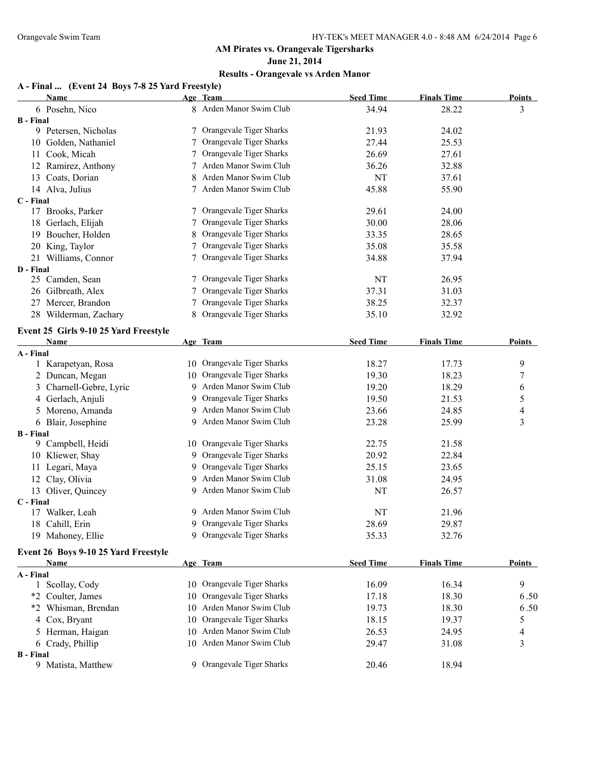## **June 21, 2014**

## **Results - Orangevale vs Arden Manor**

## **A - Final ... (Event 24 Boys 7-8 25 Yard Freestyle)**

| <b>Name</b>                           |    | Age Team                   | <b>Seed Time</b> | <b>Finals Time</b> | <b>Points</b>  |
|---------------------------------------|----|----------------------------|------------------|--------------------|----------------|
| 6 Posehn, Nico                        |    | 8 Arden Manor Swim Club    | 34.94            | 28.22              | 3              |
| <b>B</b> - Final                      |    |                            |                  |                    |                |
| 9 Petersen, Nicholas                  |    | 7 Orangevale Tiger Sharks  | 21.93            | 24.02              |                |
| 10 Golden, Nathaniel                  |    | Orangevale Tiger Sharks    | 27.44            | 25.53              |                |
| 11 Cook, Micah                        |    | 7 Orangevale Tiger Sharks  | 26.69            | 27.61              |                |
| 12 Ramirez, Anthony                   |    | 7 Arden Manor Swim Club    | 36.26            | 32.88              |                |
| 13 Coats, Dorian                      | 8. | Arden Manor Swim Club      | NT               | 37.61              |                |
| 14 Alva, Julius                       |    | 7 Arden Manor Swim Club    | 45.88            | 55.90              |                |
| C - Final                             |    |                            |                  |                    |                |
| 17 Brooks, Parker                     |    | 7 Orangevale Tiger Sharks  | 29.61            | 24.00              |                |
| 18 Gerlach, Elijah                    | 7  | Orangevale Tiger Sharks    | 30.00            | 28.06              |                |
| 19 Boucher, Holden                    |    | Orangevale Tiger Sharks    | 33.35            | 28.65              |                |
| 20 King, Taylor                       |    | Orangevale Tiger Sharks    | 35.08            | 35.58              |                |
| 21 Williams, Connor                   |    | 7 Orangevale Tiger Sharks  | 34.88            | 37.94              |                |
| D - Final                             |    |                            |                  |                    |                |
| 25 Camden, Sean                       |    | 7 Orangevale Tiger Sharks  | NT               | 26.95              |                |
| 26 Gilbreath, Alex                    | 7  | Orangevale Tiger Sharks    | 37.31            | 31.03              |                |
| 27 Mercer, Brandon                    | 7  | Orangevale Tiger Sharks    | 38.25            | 32.37              |                |
| 28 Wilderman, Zachary                 |    | Orangevale Tiger Sharks    | 35.10            | 32.92              |                |
| Event 25 Girls 9-10 25 Yard Freestyle |    |                            |                  |                    |                |
| <b>Name</b>                           |    | Age Team                   | <b>Seed Time</b> | <b>Finals Time</b> | <b>Points</b>  |
| A - Final                             |    |                            |                  |                    |                |
| 1 Karapetyan, Rosa                    |    | 10 Orangevale Tiger Sharks | 18.27            | 17.73              | 9              |
| 2 Duncan, Megan                       |    | 10 Orangevale Tiger Sharks | 19.30            | 18.23              | 7              |
| 3 Charnell-Gebre, Lyric               | 9. | Arden Manor Swim Club      | 19.20            | 18.29              | 6              |
| 4 Gerlach, Anjuli                     | 9. | Orangevale Tiger Sharks    | 19.50            | 21.53              | 5              |
| 5 Moreno, Amanda                      | 9. | Arden Manor Swim Club      | 23.66            | 24.85              | $\overline{4}$ |
| 6 Blair, Josephine                    | 9. | Arden Manor Swim Club      | 23.28            | 25.99              | $\mathfrak{Z}$ |
| <b>B</b> - Final                      |    |                            |                  |                    |                |
| 9 Campbell, Heidi                     |    | 10 Orangevale Tiger Sharks | 22.75            | 21.58              |                |
| 10 Kliewer, Shay                      |    | 9 Orangevale Tiger Sharks  | 20.92            | 22.84              |                |
| 11 Legari, Maya                       |    | 9 Orangevale Tiger Sharks  | 25.15            | 23.65              |                |
| 12 Clay, Olivia                       |    | 9 Arden Manor Swim Club    | 31.08            | 24.95              |                |
| 13 Oliver, Quincey                    |    | 9 Arden Manor Swim Club    | NT               | 26.57              |                |
| C - Final                             |    |                            |                  |                    |                |
| 17 Walker, Leah                       |    | 9 Arden Manor Swim Club    | NT               | 21.96              |                |
| 18 Cahill, Erin                       |    | 9 Orangevale Tiger Sharks  | 28.69            | 29.87              |                |
| 19 Mahoney, Ellie                     |    | 9 Orangevale Tiger Sharks  | 35.33            | 32.76              |                |
| Event 26 Boys 9-10 25 Yard Freestyle  |    |                            |                  |                    |                |
| Name                                  |    | Age Team                   | <b>Seed Time</b> | <b>Finals Time</b> | <b>Points</b>  |
| A - Final                             |    |                            |                  |                    |                |
| 1 Scollay, Cody                       |    | 10 Orangevale Tiger Sharks | 16.09            | 16.34              | 9              |
| *2 Coulter, James                     |    | 10 Orangevale Tiger Sharks | 17.18            | 18.30              | 6.50           |
| *2 Whisman, Brendan                   |    | 10 Arden Manor Swim Club   | 19.73            | 18.30              | 6.50           |
| 4 Cox, Bryant                         |    | 10 Orangevale Tiger Sharks | 18.15            | 19.37              | 5              |
| 5 Herman, Haigan                      |    | 10 Arden Manor Swim Club   | 26.53            | 24.95              | $\overline{4}$ |
| 6 Crady, Phillip                      |    | 10 Arden Manor Swim Club   | 29.47            | 31.08              | 3              |
| <b>B</b> - Final                      |    |                            |                  |                    |                |
| 9 Matista, Matthew                    |    | 9 Orangevale Tiger Sharks  | 20.46            | 18.94              |                |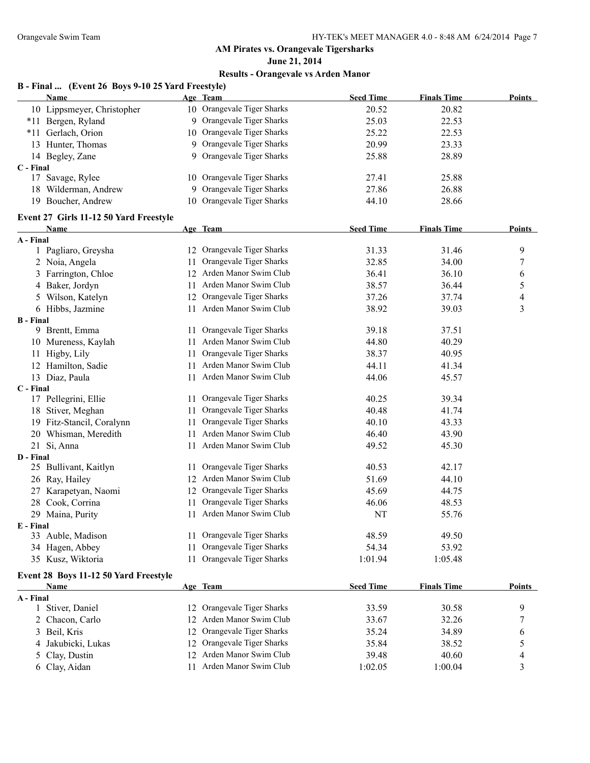**June 21, 2014**

## **Results - Orangevale vs Arden Manor**

#### **B - Final ... (Event 26 Boys 9-10 25 Yard Freestyle)**

|                  | <b>Name</b>                            | Age Team                   | <b>Seed Time</b> | <b>Finals Time</b> | Points           |
|------------------|----------------------------------------|----------------------------|------------------|--------------------|------------------|
|                  | 10 Lippsmeyer, Christopher             | 10 Orangevale Tiger Sharks | 20.52            | 20.82              |                  |
|                  | *11 Bergen, Ryland                     | 9 Orangevale Tiger Sharks  | 25.03            | 22.53              |                  |
|                  | *11 Gerlach, Orion                     | 10 Orangevale Tiger Sharks | 25.22            | 22.53              |                  |
|                  | 13 Hunter, Thomas                      | 9 Orangevale Tiger Sharks  | 20.99            | 23.33              |                  |
|                  | 14 Begley, Zane                        | 9 Orangevale Tiger Sharks  | 25.88            | 28.89              |                  |
| C - Final        |                                        |                            |                  |                    |                  |
|                  | 17 Savage, Rylee                       | 10 Orangevale Tiger Sharks | 27.41            | 25.88              |                  |
|                  | 18 Wilderman, Andrew                   | 9 Orangevale Tiger Sharks  | 27.86            | 26.88              |                  |
|                  | 19 Boucher, Andrew                     | 10 Orangevale Tiger Sharks | 44.10            | 28.66              |                  |
|                  | Event 27 Girls 11-12 50 Yard Freestyle |                            |                  |                    |                  |
|                  | <b>Name</b>                            | Age Team                   | <b>Seed Time</b> | <b>Finals Time</b> | <b>Points</b>    |
| A - Final        |                                        |                            |                  |                    |                  |
|                  | 1 Pagliaro, Greysha                    | 12 Orangevale Tiger Sharks | 31.33            | 31.46              | 9                |
|                  | 2 Noia, Angela                         | 11 Orangevale Tiger Sharks | 32.85            | 34.00              | $\boldsymbol{7}$ |
|                  | 3 Farrington, Chloe                    | 12 Arden Manor Swim Club   | 36.41            | 36.10              | 6                |
|                  | 4 Baker, Jordyn                        | 11 Arden Manor Swim Club   | 38.57            | 36.44              | 5                |
|                  | 5 Wilson, Katelyn                      | 12 Orangevale Tiger Sharks | 37.26            | 37.74              | 4                |
|                  | 6 Hibbs, Jazmine                       | 11 Arden Manor Swim Club   | 38.92            | 39.03              | 3                |
| <b>B</b> - Final |                                        |                            |                  |                    |                  |
|                  | 9 Brentt, Emma                         | 11 Orangevale Tiger Sharks | 39.18            | 37.51              |                  |
|                  | 10 Mureness, Kaylah                    | 11 Arden Manor Swim Club   | 44.80            | 40.29              |                  |
|                  | 11 Higby, Lily                         | 11 Orangevale Tiger Sharks | 38.37            | 40.95              |                  |
|                  | 12 Hamilton, Sadie                     | 11 Arden Manor Swim Club   | 44.11            | 41.34              |                  |
|                  | 13 Diaz, Paula                         | 11 Arden Manor Swim Club   | 44.06            | 45.57              |                  |
| C - Final        |                                        |                            |                  |                    |                  |
|                  | 17 Pellegrini, Ellie                   | 11 Orangevale Tiger Sharks | 40.25            | 39.34              |                  |
|                  | 18 Stiver, Meghan                      | 11 Orangevale Tiger Sharks | 40.48            | 41.74              |                  |
|                  | 19 Fitz-Stancil, Coralynn              | 11 Orangevale Tiger Sharks | 40.10            | 43.33              |                  |
|                  | 20 Whisman, Meredith                   | 11 Arden Manor Swim Club   | 46.40            | 43.90              |                  |
|                  | 21 Si, Anna                            | 11 Arden Manor Swim Club   | 49.52            | 45.30              |                  |
| D - Final        |                                        |                            |                  |                    |                  |
|                  | 25 Bullivant, Kaitlyn                  | 11 Orangevale Tiger Sharks | 40.53            | 42.17              |                  |
|                  | 26 Ray, Hailey                         | 12 Arden Manor Swim Club   | 51.69            | 44.10              |                  |
|                  | 27 Karapetyan, Naomi                   | 12 Orangevale Tiger Sharks | 45.69            | 44.75              |                  |
|                  | 28 Cook, Corrina                       | 11 Orangevale Tiger Sharks | 46.06            | 48.53              |                  |
|                  | 29 Maina, Purity                       | 11 Arden Manor Swim Club   | NT               | 55.76              |                  |
| E - Final        |                                        |                            |                  |                    |                  |
|                  | 33 Auble, Madison                      | 11 Orangevale Tiger Sharks | 48.59            | 49.50              |                  |
|                  | 34 Hagen, Abbey                        | 11 Orangevale Tiger Sharks | 54.34            | 53.92              |                  |
|                  | 35 Kusz, Wiktoria                      | 11 Orangevale Tiger Sharks | 1:01.94          | 1:05.48            |                  |
|                  | Event 28 Boys 11-12 50 Yard Freestyle  |                            |                  |                    |                  |

|           | <b>Name</b>        | Age Team                   | <b>Seed Time</b> | <b>Finals Time</b> | <b>Points</b> |
|-----------|--------------------|----------------------------|------------------|--------------------|---------------|
| A - Final |                    |                            |                  |                    |               |
|           | 1 Stiver, Daniel   | 12 Orangevale Tiger Sharks | 33.59            | 30.58              |               |
|           | 2 Chacon, Carlo    | 12 Arden Manor Swim Club   | 33.67            | 32.26              |               |
|           | 3 Beil, Kris       | 12 Orangevale Tiger Sharks | 35.24            | 34.89              | b             |
|           | 4 Jakubicki, Lukas | 12 Orangevale Tiger Sharks | 35.84            | 38.52              |               |
|           | 5 Clay, Dustin     | 12 Arden Manor Swim Club   | 39.48            | 40.60              | 4             |
|           | 6 Clay, Aidan      | Arden Manor Swim Club      | 1:02.05          | 1:00.04            |               |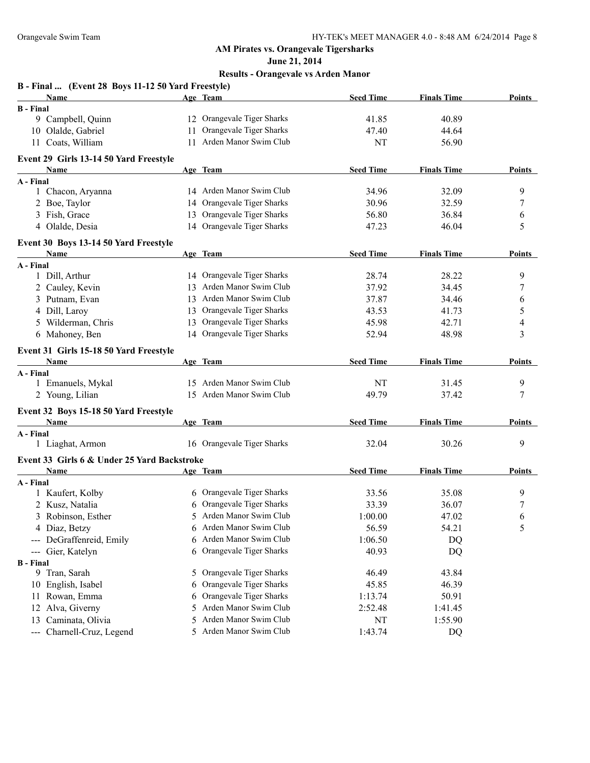**June 21, 2014**

|                      | B - Final  (Event 28 Boys 11-12 50 Yard Freestyle) |   |                            |                  |                    |                |
|----------------------|----------------------------------------------------|---|----------------------------|------------------|--------------------|----------------|
|                      | Name                                               |   | Age Team                   | <b>Seed Time</b> | <b>Finals Time</b> | Points         |
| <b>B</b> - Final     |                                                    |   |                            |                  |                    |                |
|                      | 9 Campbell, Quinn                                  |   | 12 Orangevale Tiger Sharks | 41.85            | 40.89              |                |
|                      | 10 Olalde, Gabriel                                 |   | 11 Orangevale Tiger Sharks | 47.40            | 44.64              |                |
|                      | 11 Coats, William                                  |   | 11 Arden Manor Swim Club   | NT               | 56.90              |                |
|                      | Event 29 Girls 13-14 50 Yard Freestyle             |   |                            |                  |                    |                |
|                      | <b>Name</b>                                        |   | Age Team                   | <b>Seed Time</b> | <b>Finals Time</b> | <b>Points</b>  |
| A - Final            |                                                    |   |                            |                  |                    |                |
|                      | 1 Chacon, Aryanna                                  |   | 14 Arden Manor Swim Club   | 34.96            | 32.09              | 9              |
|                      | 2 Boe, Taylor                                      |   | 14 Orangevale Tiger Sharks | 30.96            | 32.59              | 7              |
|                      | 3 Fish, Grace                                      |   | 13 Orangevale Tiger Sharks | 56.80            | 36.84              | 6              |
|                      | 4 Olalde, Desia                                    |   | 14 Orangevale Tiger Sharks | 47.23            | 46.04              | 5              |
|                      | Event 30 Boys 13-14 50 Yard Freestyle              |   |                            |                  |                    |                |
|                      | Name                                               |   | Age Team                   | <b>Seed Time</b> | <b>Finals Time</b> | <b>Points</b>  |
| A - Final            |                                                    |   |                            |                  |                    |                |
|                      | 1 Dill, Arthur                                     |   | 14 Orangevale Tiger Sharks | 28.74            | 28.22              | 9              |
|                      | 2 Cauley, Kevin                                    |   | 13 Arden Manor Swim Club   | 37.92            | 34.45              | 7              |
|                      | 3 Putnam, Evan                                     |   | 13 Arden Manor Swim Club   | 37.87            | 34.46              | 6              |
|                      | 4 Dill, Laroy                                      |   | 13 Orangevale Tiger Sharks | 43.53            | 41.73              | 5              |
|                      | 5 Wilderman, Chris                                 |   | 13 Orangevale Tiger Sharks | 45.98            | 42.71              | 4              |
|                      | 6 Mahoney, Ben                                     |   | 14 Orangevale Tiger Sharks | 52.94            | 48.98              | 3              |
|                      | Event 31 Girls 15-18 50 Yard Freestyle             |   |                            |                  |                    |                |
|                      | Name                                               |   | Age Team                   | <b>Seed Time</b> | <b>Finals Time</b> | <b>Points</b>  |
| A - Final            |                                                    |   |                            |                  |                    |                |
|                      | 1 Emanuels, Mykal                                  |   | 15 Arden Manor Swim Club   | NT               | 31.45              | 9              |
|                      | 2 Young, Lilian                                    |   | 15 Arden Manor Swim Club   | 49.79            | 37.42              | 7              |
|                      | Event 32 Boys 15-18 50 Yard Freestyle              |   |                            |                  |                    |                |
|                      | <b>Name</b>                                        |   | Age Team                   | <b>Seed Time</b> | <b>Finals Time</b> | <b>Points</b>  |
| A - Final            |                                                    |   |                            |                  |                    |                |
|                      | 1 Liaghat, Armon                                   |   | 16 Orangevale Tiger Sharks | 32.04            | 30.26              | 9              |
|                      | Event 33 Girls 6 & Under 25 Yard Backstroke        |   |                            |                  |                    |                |
|                      | Name                                               |   | Age Team                   | <b>Seed Time</b> | <b>Finals Time</b> | <b>Points</b>  |
| A - Final            |                                                    |   |                            |                  |                    |                |
|                      | 1 Kaufert, Kolby                                   |   | 6 Orangevale Tiger Sharks  | 33.56            | 35.08              | 9              |
|                      | 2 Kusz, Natalia                                    |   | 6 Orangevale Tiger Sharks  | 33.39            | 36.07              | $\overline{7}$ |
|                      | 3 Robinson, Esther                                 |   | 5 Arden Manor Swim Club    | 1:00.00          | 47.02              | 6              |
|                      | 4 Diaz, Betzy                                      | 6 | Arden Manor Swim Club      | 56.59            | 54.21              | 5              |
|                      | DeGraffenreid, Emily                               | 6 | Arden Manor Swim Club      | 1:06.50          | DQ                 |                |
| $\sim$ $\sim$ $\sim$ | Gier, Katelyn                                      |   | 6 Orangevale Tiger Sharks  | 40.93            | DQ                 |                |
| <b>B</b> - Final     |                                                    |   |                            |                  |                    |                |
|                      | 9 Tran, Sarah                                      | 5 | Orangevale Tiger Sharks    | 46.49            | 43.84              |                |
|                      | 10 English, Isabel                                 | 6 | Orangevale Tiger Sharks    | 45.85            | 46.39              |                |
|                      | 11 Rowan, Emma                                     | 6 | Orangevale Tiger Sharks    | 1:13.74          | 50.91              |                |
|                      | 12 Alva, Giverny                                   | 5 | Arden Manor Swim Club      | 2:52.48          | 1:41.45            |                |
| 13                   | Caminata, Olivia                                   | 5 | Arden Manor Swim Club      | NT               | 1:55.90            |                |
|                      | --- Charnell-Cruz, Legend                          |   | 5 Arden Manor Swim Club    | 1:43.74          | DQ                 |                |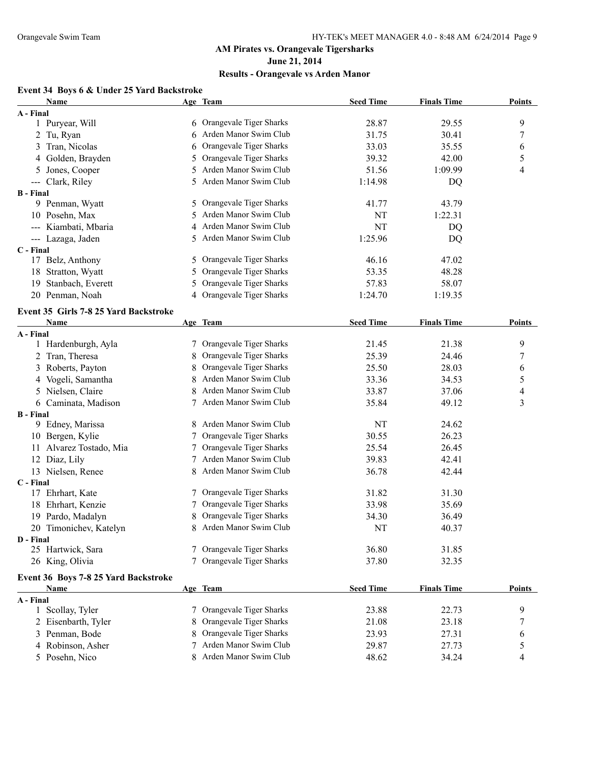**June 21, 2014**

#### **Results - Orangevale vs Arden Manor**

## **Event 34 Boys 6 & Under 25 Yard Backstroke**

|                  | <b>Name</b>                           |    | Age Team                  | <b>Seed Time</b> | <b>Finals Time</b> | <b>Points</b> |
|------------------|---------------------------------------|----|---------------------------|------------------|--------------------|---------------|
| A - Final        |                                       |    |                           |                  |                    |               |
|                  | 1 Puryear, Will                       |    | 6 Orangevale Tiger Sharks | 28.87            | 29.55              | 9             |
|                  | 2 Tu, Ryan                            |    | 6 Arden Manor Swim Club   | 31.75            | 30.41              | 7             |
|                  | 3 Tran, Nicolas                       |    | Orangevale Tiger Sharks   | 33.03            | 35.55              | 6             |
|                  | 4 Golden, Brayden                     | 5  | Orangevale Tiger Sharks   | 39.32            | 42.00              | 5             |
|                  | 5 Jones, Cooper                       | 5. | Arden Manor Swim Club     | 51.56            | 1:09.99            | 4             |
|                  | --- Clark, Riley                      |    | Arden Manor Swim Club     | 1:14.98          | DQ                 |               |
| <b>B</b> - Final |                                       |    |                           |                  |                    |               |
|                  | 9 Penman, Wyatt                       |    | 5 Orangevale Tiger Sharks | 41.77            | 43.79              |               |
|                  | 10 Posehn, Max                        | 5. | Arden Manor Swim Club     | NT               | 1:22.31            |               |
|                  | --- Kiambati, Mbaria                  |    | Arden Manor Swim Club     | NT               | DQ                 |               |
|                  | --- Lazaga, Jaden                     |    | 5 Arden Manor Swim Club   | 1:25.96          | DQ                 |               |
| C - Final        |                                       |    |                           |                  |                    |               |
|                  | 17 Belz, Anthony                      |    | 5 Orangevale Tiger Sharks | 46.16            | 47.02              |               |
|                  | 18 Stratton, Wyatt                    | 5  | Orangevale Tiger Sharks   | 53.35            | 48.28              |               |
|                  | 19 Stanbach, Everett                  |    | Orangevale Tiger Sharks   | 57.83            | 58.07              |               |
|                  | 20 Penman, Noah                       |    | 4 Orangevale Tiger Sharks | 1:24.70          | 1:19.35            |               |
|                  | Event 35 Girls 7-8 25 Yard Backstroke |    |                           |                  |                    |               |
|                  | Name                                  |    | Age Team                  | <b>Seed Time</b> | <b>Finals Time</b> | <b>Points</b> |
| A - Final        |                                       |    |                           |                  |                    |               |
|                  | 1 Hardenburgh, Ayla                   |    | 7 Orangevale Tiger Sharks | 21.45            | 21.38              | 9             |
|                  | 2 Tran, Theresa                       | 8  | Orangevale Tiger Sharks   | 25.39            | 24.46              | 7             |
|                  | 3 Roberts, Payton                     | 8  | Orangevale Tiger Sharks   | 25.50            | 28.03              | 6             |
|                  | 4 Vogeli, Samantha                    | 8  | Arden Manor Swim Club     | 33.36            | 34.53              | 5             |
|                  | 5 Nielsen, Claire                     | 8  | Arden Manor Swim Club     | 33.87            | 37.06              | 4             |
|                  | 6 Caminata, Madison                   | 7  | Arden Manor Swim Club     | 35.84            | 49.12              | 3             |
| <b>B</b> - Final |                                       |    |                           |                  |                    |               |
|                  | 9 Edney, Marissa                      |    | 8 Arden Manor Swim Club   | NT               | 24.62              |               |
|                  | 10 Bergen, Kylie                      |    | Orangevale Tiger Sharks   | 30.55            | 26.23              |               |
|                  | 11 Alvarez Tostado, Mia               |    | Orangevale Tiger Sharks   | 25.54            | 26.45              |               |
|                  | 12 Diaz, Lily                         |    | 7 Arden Manor Swim Club   | 39.83            | 42.41              |               |
|                  | 13 Nielsen, Renee                     |    | 8 Arden Manor Swim Club   | 36.78            | 42.44              |               |
| C - Final        |                                       |    |                           |                  |                    |               |
|                  | 17 Ehrhart, Kate                      |    | 7 Orangevale Tiger Sharks | 31.82            | 31.30              |               |
|                  | 18 Ehrhart, Kenzie                    |    | Orangevale Tiger Sharks   | 33.98            | 35.69              |               |
|                  | 19 Pardo, Madalyn                     |    | 8 Orangevale Tiger Sharks | 34.30            | 36.49              |               |
|                  | 20 Timonichev, Katelyn                |    | 8 Arden Manor Swim Club   | NT               | 40.37              |               |
| D - Final        |                                       |    |                           |                  |                    |               |
|                  | 25 Hartwick, Sara                     |    | Orangevale Tiger Sharks   | 36.80            | 31.85              |               |
|                  | 26 King, Olivia                       |    | Orangevale Tiger Sharks   | 37.80            | 32.35              |               |
|                  | Event 36 Boys 7-8 25 Yard Backstroke  |    |                           |                  |                    |               |
|                  | Name                                  |    | Age Team                  | <b>Seed Time</b> | <b>Finals Time</b> | <b>Points</b> |
| A - Final        |                                       |    |                           |                  |                    |               |
|                  | 1 Scollay, Tyler                      |    | 7 Orangevale Tiger Sharks | 23.88            | 22.73              | 9             |
|                  | 2 Eisenbarth, Tyler                   | 8  | Orangevale Tiger Sharks   | 21.08            | 23.18              | 7             |
|                  | 3 Penman, Bode                        | 8  | Orangevale Tiger Sharks   | 23.93            | 27.31              | 6             |
|                  | 4 Robinson, Asher                     | 7  | Arden Manor Swim Club     | 29.87            | 27.73              | 5             |
|                  | 5 Posehn, Nico                        |    | 8 Arden Manor Swim Club   | 48.62            | 34.24              | 4             |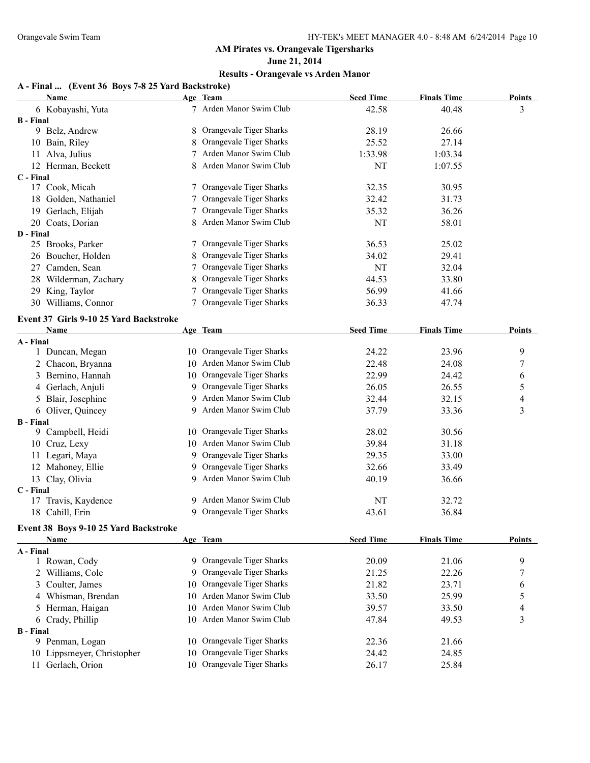**June 21, 2014**

## **Results - Orangevale vs Arden Manor**

#### **A - Final ... (Event 36 Boys 7-8 25 Yard Backstroke)**

|                  | <b>Name</b>                                   |    | Age Team                   | <b>Seed Time</b> | <b>Finals Time</b> | <b>Points</b>            |
|------------------|-----------------------------------------------|----|----------------------------|------------------|--------------------|--------------------------|
|                  | 6 Kobayashi, Yuta                             |    | 7 Arden Manor Swim Club    | 42.58            | 40.48              | 3                        |
| <b>B</b> - Final |                                               |    |                            |                  |                    |                          |
|                  | 9 Belz, Andrew                                | 8  | Orangevale Tiger Sharks    | 28.19            | 26.66              |                          |
|                  | 10 Bain, Riley                                | 8  | Orangevale Tiger Sharks    | 25.52            | 27.14              |                          |
|                  | 11 Alva, Julius                               |    | 7 Arden Manor Swim Club    | 1:33.98          | 1:03.34            |                          |
|                  | 12 Herman, Beckett                            |    | 8 Arden Manor Swim Club    | NT               | 1:07.55            |                          |
| C - Final        |                                               |    |                            |                  |                    |                          |
|                  | 17 Cook, Micah                                | 7  | Orangevale Tiger Sharks    | 32.35            | 30.95              |                          |
|                  | 18 Golden, Nathaniel                          |    | Orangevale Tiger Sharks    | 32.42            | 31.73              |                          |
|                  | 19 Gerlach, Elijah                            |    | Orangevale Tiger Sharks    | 35.32            | 36.26              |                          |
|                  | 20 Coats, Dorian                              |    | 8 Arden Manor Swim Club    | NT               | 58.01              |                          |
| D - Final        |                                               |    |                            |                  |                    |                          |
|                  | 25 Brooks, Parker                             |    | Orangevale Tiger Sharks    | 36.53            | 25.02              |                          |
|                  | 26 Boucher, Holden                            |    | Orangevale Tiger Sharks    | 34.02            | 29.41              |                          |
|                  | 27 Camden, Sean                               |    | Orangevale Tiger Sharks    | NT               | 32.04              |                          |
|                  | 28 Wilderman, Zachary                         | 8  | Orangevale Tiger Sharks    | 44.53            | 33.80              |                          |
| 29               | King, Taylor                                  |    | Orangevale Tiger Sharks    | 56.99            | 41.66              |                          |
|                  | 30 Williams, Connor                           |    | Orangevale Tiger Sharks    | 36.33            | 47.74              |                          |
|                  | Event 37 Girls 9-10 25 Yard Backstroke        |    |                            |                  |                    |                          |
|                  | Name                                          |    | Age Team                   | <b>Seed Time</b> | <b>Finals Time</b> | <b>Points</b>            |
| A - Final        |                                               |    |                            |                  |                    |                          |
|                  | 1 Duncan, Megan                               |    | 10 Orangevale Tiger Sharks | 24.22            | 23.96              | 9                        |
|                  | 2 Chacon, Bryanna                             |    | 10 Arden Manor Swim Club   | 22.48            | 24.08              | 7                        |
|                  | 3 Bernino, Hannah                             |    | 10 Orangevale Tiger Sharks | 22.99            | 24.42              | 6                        |
|                  | 4 Gerlach, Anjuli                             |    | 9 Orangevale Tiger Sharks  | 26.05            | 26.55              | 5                        |
|                  | 5 Blair, Josephine                            | 9. | Arden Manor Swim Club      | 32.44            | 32.15              | 4                        |
|                  | 6 Oliver, Quincey                             |    | 9 Arden Manor Swim Club    | 37.79            | 33.36              | 3                        |
| <b>B</b> - Final |                                               |    |                            |                  |                    |                          |
|                  | 9 Campbell, Heidi                             |    | 10 Orangevale Tiger Sharks | 28.02            | 30.56              |                          |
|                  | 10 Cruz, Lexy                                 |    | 10 Arden Manor Swim Club   | 39.84            | 31.18              |                          |
|                  | 11 Legari, Maya                               |    | 9 Orangevale Tiger Sharks  | 29.35            | 33.00              |                          |
|                  | 12 Mahoney, Ellie                             | 9. | Orangevale Tiger Sharks    | 32.66            | 33.49              |                          |
|                  | 13 Clay, Olivia                               |    | 9 Arden Manor Swim Club    | 40.19            | 36.66              |                          |
| C - Final        |                                               |    |                            |                  |                    |                          |
|                  | 17 Travis, Kaydence                           |    | 9 Arden Manor Swim Club    | NT               | 32.72              |                          |
|                  | 18 Cahill, Erin                               |    | 9 Orangevale Tiger Sharks  | 43.61            | 36.84              |                          |
|                  |                                               |    |                            |                  |                    |                          |
|                  | Event 38 Boys 9-10 25 Yard Backstroke<br>Name |    | Age Team                   | <b>Seed Time</b> | <b>Finals Time</b> | <b>Points</b>            |
| A - Final        |                                               |    |                            |                  |                    |                          |
|                  | 1 Rowan, Cody                                 |    | 9 Orangevale Tiger Sharks  | 20.09            | 21.06              | 9                        |
|                  | 2 Williams, Cole                              | 9  | Orangevale Tiger Sharks    | 21.25            | 22.26              | 7                        |
|                  | 3 Coulter, James                              | 10 | Orangevale Tiger Sharks    | 21.82            | 23.71              | 6                        |
|                  | 4 Whisman, Brendan                            |    | 10 Arden Manor Swim Club   | 33.50            | 25.99              | 5                        |
|                  | 5 Herman, Haigan                              |    | 10 Arden Manor Swim Club   | 39.57            | 33.50              |                          |
|                  |                                               |    | 10 Arden Manor Swim Club   |                  |                    | $\overline{\mathcal{A}}$ |
| <b>B</b> - Final | 6 Crady, Phillip                              |    |                            | 47.84            | 49.53              | 3                        |
|                  | 9 Penman, Logan                               |    | 10 Orangevale Tiger Sharks | 22.36            | 21.66              |                          |
|                  | 10 Lippsmeyer, Christopher                    | 10 | Orangevale Tiger Sharks    | 24.42            | 24.85              |                          |
|                  | 11 Gerlach, Orion                             |    | 10 Orangevale Tiger Sharks | 26.17            | 25.84              |                          |
|                  |                                               |    |                            |                  |                    |                          |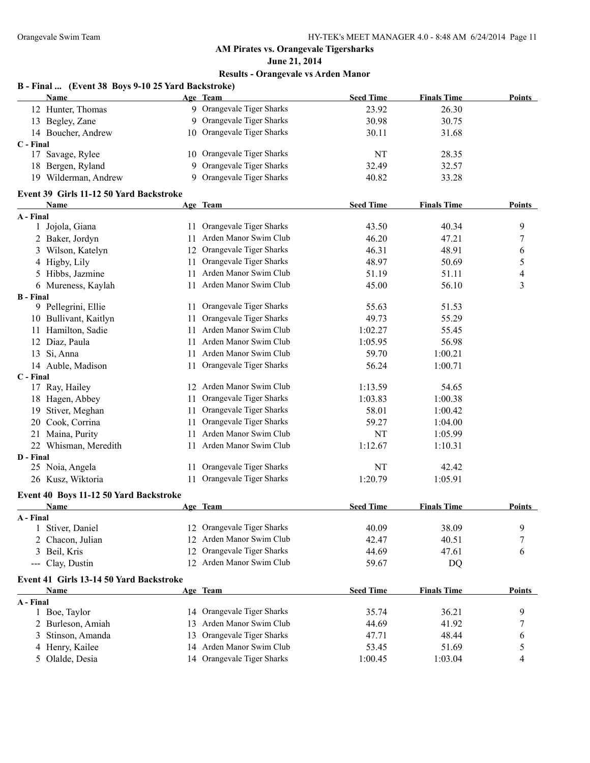**June 21, 2014**

#### **Results - Orangevale vs Arden Manor**

## **B - Final ... (Event 38 Boys 9-10 25 Yard Backstroke)**

|             | <b>Name</b>        | Age Team                   | <b>Seed Time</b> | <b>Finals Time</b> | Points |
|-------------|--------------------|----------------------------|------------------|--------------------|--------|
|             | 12 Hunter, Thomas  | 9 Orangevale Tiger Sharks  | 23.92            | 26.30              |        |
|             | 13 Begley, Zane    | 9 Orangevale Tiger Sharks  | 30.98            | 30.75              |        |
|             | 14 Boucher, Andrew | 10 Orangevale Tiger Sharks | 30.11            | 31.68              |        |
| $C$ - Final |                    |                            |                  |                    |        |
|             | Savage, Rylee      | 10 Orangevale Tiger Sharks | NT               | 28.35              |        |
|             | 18 Bergen, Ryland  | 9 Orangevale Tiger Sharks  | 32.49            | 32.57              |        |
| 19          | Wilderman, Andrew  | 9 Orangevale Tiger Sharks  | 40.82            | 33.28              |        |

#### **Event 39 Girls 11-12 50 Yard Backstroke**

|                  | <b>Name</b>                             |    | Age Team                   | <b>Seed Time</b> | <b>Finals Time</b> | <b>Points</b>    |
|------------------|-----------------------------------------|----|----------------------------|------------------|--------------------|------------------|
| A - Final        |                                         |    |                            |                  |                    |                  |
| 1                | Jojola, Giana                           |    | 11 Orangevale Tiger Sharks | 43.50            | 40.34              | 9                |
|                  | 2 Baker, Jordyn                         | 11 | Arden Manor Swim Club      | 46.20            | 47.21              | $\boldsymbol{7}$ |
|                  | 3 Wilson, Katelyn                       |    | 12 Orangevale Tiger Sharks | 46.31            | 48.91              | 6                |
|                  | 4 Higby, Lily                           |    | 11 Orangevale Tiger Sharks | 48.97            | 50.69              | $\sqrt{5}$       |
|                  | 5 Hibbs, Jazmine                        |    | 11 Arden Manor Swim Club   | 51.19            | 51.11              | $\overline{4}$   |
|                  | 6 Mureness, Kaylah                      |    | 11 Arden Manor Swim Club   | 45.00            | 56.10              | 3                |
| <b>B</b> - Final |                                         |    |                            |                  |                    |                  |
|                  | 9 Pellegrini, Ellie                     |    | 11 Orangevale Tiger Sharks | 55.63            | 51.53              |                  |
|                  | 10 Bullivant, Kaitlyn                   | 11 | Orangevale Tiger Sharks    | 49.73            | 55.29              |                  |
|                  | 11 Hamilton, Sadie                      |    | 11 Arden Manor Swim Club   | 1:02.27          | 55.45              |                  |
|                  | 12 Diaz, Paula                          |    | 11 Arden Manor Swim Club   | 1:05.95          | 56.98              |                  |
|                  | 13 Si, Anna                             |    | 11 Arden Manor Swim Club   | 59.70            | 1:00.21            |                  |
|                  | 14 Auble, Madison                       |    | 11 Orangevale Tiger Sharks | 56.24            | 1:00.71            |                  |
| C - Final        |                                         |    |                            |                  |                    |                  |
|                  | 17 Ray, Hailey                          |    | 12 Arden Manor Swim Club   | 1:13.59          | 54.65              |                  |
|                  | 18 Hagen, Abbey                         |    | 11 Orangevale Tiger Sharks | 1:03.83          | 1:00.38            |                  |
|                  | 19 Stiver, Meghan                       |    | 11 Orangevale Tiger Sharks | 58.01            | 1:00.42            |                  |
|                  | 20 Cook, Corrina                        | 11 | Orangevale Tiger Sharks    | 59.27            | 1:04.00            |                  |
|                  | 21 Maina, Purity                        | 11 | Arden Manor Swim Club      | NT               | 1:05.99            |                  |
|                  | 22 Whisman, Meredith                    | 11 | Arden Manor Swim Club      | 1:12.67          | 1:10.31            |                  |
| D - Final        |                                         |    |                            |                  |                    |                  |
|                  | 25 Noia, Angela                         | 11 | Orangevale Tiger Sharks    | NT               | 42.42              |                  |
|                  | 26 Kusz, Wiktoria                       |    | 11 Orangevale Tiger Sharks | 1:20.79          | 1:05.91            |                  |
|                  | Event 40 Boys 11-12 50 Yard Backstroke  |    |                            |                  |                    |                  |
|                  | Name                                    |    | Age Team                   | <b>Seed Time</b> | <b>Finals Time</b> | <b>Points</b>    |
| A - Final        |                                         |    |                            |                  |                    |                  |
|                  | Stiver, Daniel                          |    | 12 Orangevale Tiger Sharks | 40.09            | 38.09              | 9                |
|                  | 2 Chacon, Julian                        |    | 12 Arden Manor Swim Club   | 42.47            | 40.51              | 7                |
|                  | 3 Beil, Kris                            |    | 12 Orangevale Tiger Sharks | 44.69            | 47.61              | 6                |
|                  | --- Clay, Dustin                        |    | 12 Arden Manor Swim Club   | 59.67            | DQ                 |                  |
|                  | Event 41 Girls 13-14 50 Yard Backstroke |    |                            |                  |                    |                  |
|                  | Name                                    |    | Age Team                   | <b>Seed Time</b> | <b>Finals Time</b> | <b>Points</b>    |
| A - Final        |                                         |    |                            |                  |                    |                  |
|                  | 1 Boe, Taylor                           |    | 14 Orangevale Tiger Sharks | 35.74            | 36.21              | 9                |
|                  | 2 Burleson, Amiah                       | 13 | Arden Manor Swim Club      | 44.69            | 41.92              | $\boldsymbol{7}$ |
|                  | 3 Stinson, Amanda                       |    | 13 Orangevale Tiger Sharks | 47.71            | 48.44              | 6                |
|                  | 4 Henry, Kailee                         |    | 14 Arden Manor Swim Club   | 53.45            | 51.69              | 5                |

Olalde, Desia 14 Orangevale Tiger Sharks 1:00.45 1:03.04 4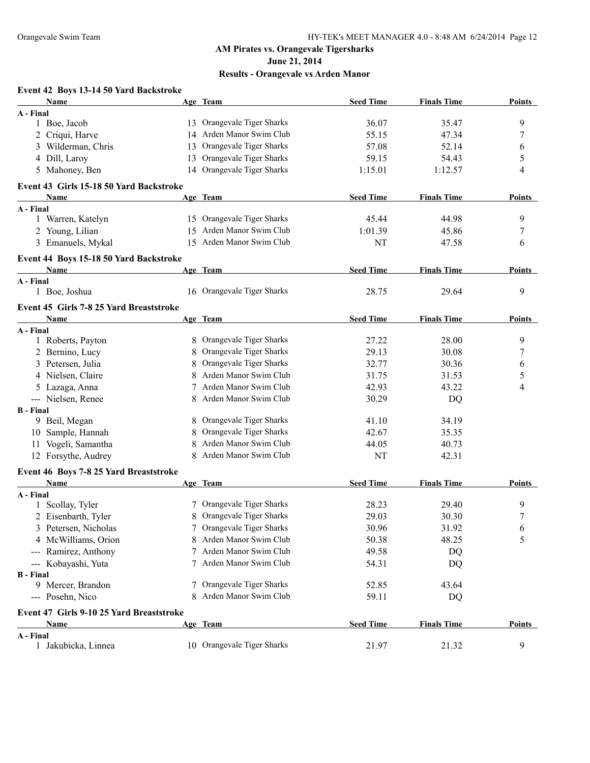**June 21, 2014**

| Event 42 Boys 13-14 50 Yard Backstroke   |    |                            |                  |                    |               |
|------------------------------------------|----|----------------------------|------------------|--------------------|---------------|
| Name                                     |    | Age Team                   | <b>Seed Time</b> | <b>Finals Time</b> | <b>Points</b> |
| A - Final                                |    |                            |                  |                    |               |
| 1 Boe, Jacob                             |    | 13 Orangevale Tiger Sharks | 36.07            | 35.47              | 9             |
| 2 Criqui, Harve                          |    | 14 Arden Manor Swim Club   | 55.15            | 47.34              | 7             |
| 3 Wilderman, Chris                       | 13 | Orangevale Tiger Sharks    | 57.08            | 52.14              | 6             |
| 4 Dill, Laroy                            | 13 | Orangevale Tiger Sharks    | 59.15            | 54.43              | 5             |
| 5 Mahoney, Ben                           |    | 14 Orangevale Tiger Sharks | 1:15.01          | 1:12.57            | 4             |
| Event 43 Girls 15-18 50 Yard Backstroke  |    |                            |                  |                    |               |
| Name                                     |    | Age Team                   | <b>Seed Time</b> | <b>Finals Time</b> | <b>Points</b> |
| A - Final                                |    |                            |                  |                    |               |
| 1 Warren, Katelyn                        |    | 15 Orangevale Tiger Sharks | 45.44            | 44.98              | 9             |
| 2 Young, Lilian                          |    | 15 Arden Manor Swim Club   | 1:01.39          | 45.86              | 7             |
| 3 Emanuels, Mykal                        |    | 15 Arden Manor Swim Club   | NT               | 47.58              | 6             |
| Event 44 Boys 15-18 50 Yard Backstroke   |    |                            |                  |                    |               |
| <b>Name</b>                              |    | Age Team                   | <b>Seed Time</b> | <b>Finals Time</b> | <b>Points</b> |
| A - Final                                |    |                            |                  |                    |               |
| 1 Boe, Joshua                            |    | 16 Orangevale Tiger Sharks | 28.75            | 29.64              | 9             |
| Event 45 Girls 7-8 25 Yard Breaststroke  |    |                            |                  |                    |               |
| <b>Name</b>                              |    | Age Team                   | <b>Seed Time</b> | <b>Finals Time</b> | <b>Points</b> |
| A - Final                                |    |                            |                  |                    |               |
| 1 Roberts, Payton                        | 8. | Orangevale Tiger Sharks    | 27.22            | 28.00              | 9             |
| 2 Bernino, Lucy                          | 8  | Orangevale Tiger Sharks    | 29.13            | 30.08              | 7             |
| 3 Petersen, Julia                        | 8  | Orangevale Tiger Sharks    | 32.77            | 30.36              | 6             |
| 4 Nielsen, Claire                        | 8  | Arden Manor Swim Club      | 31.75            | 31.53              | 5             |
| 5 Lazaga, Anna                           |    | Arden Manor Swim Club      | 42.93            | 43.22              | 4             |
| --- Nielsen, Renee                       | 8  | Arden Manor Swim Club      | 30.29            | DQ                 |               |
| <b>B</b> - Final                         |    |                            |                  |                    |               |
| 9 Beil, Megan                            | 8  | Orangevale Tiger Sharks    | 41.10            | 34.19              |               |
| 10 Sample, Hannah                        | 8  | Orangevale Tiger Sharks    | 42.67            | 35.35              |               |
| 11 Vogeli, Samantha                      | 8  | Arden Manor Swim Club      | 44.05            | 40.73              |               |
| 12 Forsythe, Audrey                      | 8  | Arden Manor Swim Club      | NT               | 42.31              |               |
| Event 46 Boys 7-8 25 Yard Breaststroke   |    |                            |                  |                    |               |
| Name                                     |    | Age Team                   | <b>Seed Time</b> | <b>Finals Time</b> | <b>Points</b> |
| A - Final                                |    |                            |                  |                    |               |
| 1 Scollay, Tyler                         |    | 7 Orangevale Tiger Sharks  | 28.23            | 29.40              | 9             |
| 2 Eisenbarth, Tyler                      |    | 8 Orangevale Tiger Sharks  | 29.03            | 30.30              | $\prime$      |
| 3 Petersen, Nicholas                     |    | Orangevale Tiger Sharks    | 30.96            | 31.92              | 6             |
| 4 McWilliams, Orion                      | 8  | Arden Manor Swim Club      | 50.38            | 48.25              | 5             |
| --- Ramirez, Anthony                     |    | Arden Manor Swim Club      | 49.58            | DQ                 |               |
| --- Kobayashi, Yuta                      |    | Arden Manor Swim Club      | 54.31            | DQ                 |               |
| <b>B</b> - Final                         |    |                            |                  |                    |               |
| 9 Mercer, Brandon                        |    | Orangevale Tiger Sharks    | 52.85            | 43.64              |               |
| --- Posehn, Nico                         |    | Arden Manor Swim Club      | 59.11            | DQ                 |               |
| Event 47 Girls 9-10 25 Yard Breaststroke |    |                            |                  |                    |               |
| Name                                     |    | Age Team                   | <b>Seed Time</b> | <b>Finals Time</b> | Points        |
| A - Final                                |    |                            |                  |                    |               |
| 1 Jakubicka, Linnea                      |    | 10 Orangevale Tiger Sharks | 21.97            | 21.32              | 9             |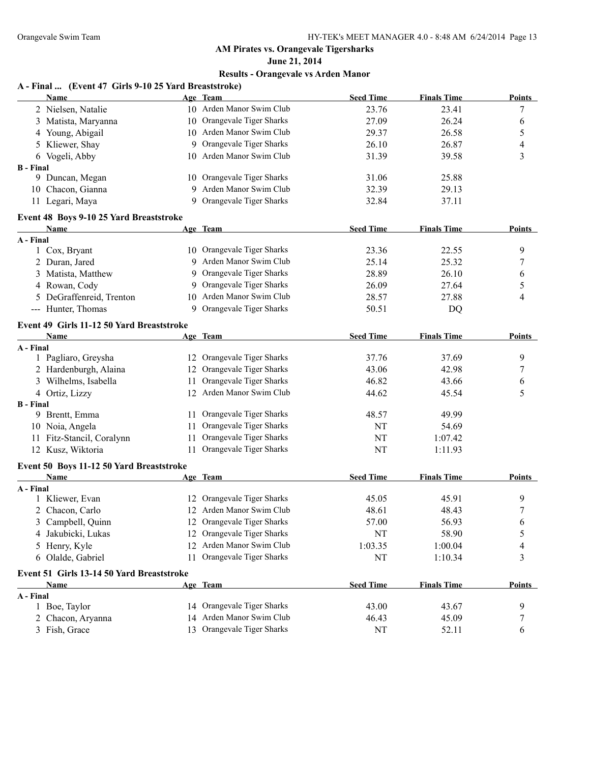**June 21, 2014**

| A - Final  (Event 47 Girls 9-10 25 Yard Breaststroke) |     |                            |                  |                    |               |
|-------------------------------------------------------|-----|----------------------------|------------------|--------------------|---------------|
| Name                                                  |     | Age Team                   | <b>Seed Time</b> | <b>Finals Time</b> | <b>Points</b> |
| 2 Nielsen, Natalie                                    |     | 10 Arden Manor Swim Club   | 23.76            | 23.41              | 7             |
| 3 Matista, Maryanna                                   |     | 10 Orangevale Tiger Sharks | 27.09            | 26.24              | 6             |
| 4 Young, Abigail                                      |     | 10 Arden Manor Swim Club   | 29.37            | 26.58              | 5             |
| 5 Kliewer, Shay                                       | 9   | Orangevale Tiger Sharks    | 26.10            | 26.87              | 4             |
| 6 Vogeli, Abby                                        |     | 10 Arden Manor Swim Club   | 31.39            | 39.58              | 3             |
| <b>B</b> - Final                                      |     |                            |                  |                    |               |
| 9 Duncan, Megan                                       |     | 10 Orangevale Tiger Sharks | 31.06            | 25.88              |               |
| 10 Chacon, Gianna                                     | 9   | Arden Manor Swim Club      | 32.39            | 29.13              |               |
| 11 Legari, Maya                                       | 9   | Orangevale Tiger Sharks    | 32.84            | 37.11              |               |
| Event 48 Boys 9-10 25 Yard Breaststroke               |     |                            |                  |                    |               |
| Name                                                  |     | Age Team                   | <b>Seed Time</b> | <b>Finals Time</b> | Points        |
| A - Final                                             |     |                            |                  |                    |               |
| 1 Cox, Bryant                                         |     | 10 Orangevale Tiger Sharks | 23.36            | 22.55              | 9             |
| 2 Duran, Jared                                        |     | 9 Arden Manor Swim Club    | 25.14            | 25.32              | 7             |
| 3 Matista, Matthew                                    | 9   | Orangevale Tiger Sharks    | 28.89            | 26.10              | 6             |
| 4 Rowan, Cody                                         | 9   | Orangevale Tiger Sharks    | 26.09            | 27.64              | 5             |
| 5 DeGraffenreid, Trenton                              | 10  | Arden Manor Swim Club      | 28.57            | 27.88              | 4             |
| --- Hunter, Thomas                                    | 9   | Orangevale Tiger Sharks    | 50.51            | DQ                 |               |
| Event 49 Girls 11-12 50 Yard Breaststroke             |     |                            |                  |                    |               |
| Name                                                  |     | Age Team                   | <b>Seed Time</b> | <b>Finals Time</b> | <b>Points</b> |
| A - Final                                             |     |                            |                  |                    |               |
| 1 Pagliaro, Greysha                                   |     | 12 Orangevale Tiger Sharks | 37.76            | 37.69              | 9             |
| 2 Hardenburgh, Alaina                                 | 12  | Orangevale Tiger Sharks    | 43.06            | 42.98              | 7             |
| 3 Wilhelms, Isabella                                  | 11  | Orangevale Tiger Sharks    | 46.82            | 43.66              | 6             |
| 4 Ortiz, Lizzy                                        |     | 12 Arden Manor Swim Club   | 44.62            | 45.54              | 5             |
| <b>B</b> - Final                                      |     |                            |                  |                    |               |
| 9 Brentt, Emma                                        | 11. | Orangevale Tiger Sharks    | 48.57            | 49.99              |               |
| 10 Noia, Angela                                       | 11  | Orangevale Tiger Sharks    | NT               | 54.69              |               |
| 11 Fitz-Stancil, Coralynn                             | 11  | Orangevale Tiger Sharks    | NT               | 1:07.42            |               |
| 12 Kusz, Wiktoria                                     | 11  | Orangevale Tiger Sharks    | NT               | 1:11.93            |               |
| Event 50 Boys 11-12 50 Yard Breaststroke              |     |                            |                  |                    |               |
| Name                                                  |     | Age Team                   | <b>Seed Time</b> | <b>Finals Time</b> | Points        |
| A - Final<br>1 Kliewer, Evan                          |     | 12 Orangevale Tiger Sharks | 45.05            | 45.91              | 9             |
|                                                       |     | 12 Arden Manor Swim Club   |                  |                    |               |
| 2 Chacon, Carlo                                       |     | 12 Orangevale Tiger Sharks | 48.61            | 48.43<br>56.93     | 7             |
| 3 Campbell, Quinn                                     |     | 12 Orangevale Tiger Sharks | 57.00<br>NT      |                    | 6             |
| Jakubicki, Lukas<br>4                                 |     | 12 Arden Manor Swim Club   | 1:03.35          | 58.90              | 5             |
| 5 Henry, Kyle                                         |     |                            |                  | 1:00.04            | 4             |
| 6 Olalde, Gabriel                                     |     | 11 Orangevale Tiger Sharks | NT               | 1:10.34            | 3             |
| Event 51 Girls 13-14 50 Yard Breaststroke             |     |                            |                  |                    |               |
| <u>Name</u>                                           |     | Age Team                   | <b>Seed Time</b> | <b>Finals Time</b> | <b>Points</b> |
| A - Final<br>1 Boe, Taylor                            |     | 14 Orangevale Tiger Sharks | 43.00            | 43.67              | 9             |
| 2 Chacon, Aryanna                                     |     | 14 Arden Manor Swim Club   | 46.43            | 45.09              |               |
| 3 Fish, Grace                                         |     | 13 Orangevale Tiger Sharks | NT               | 52.11              | 7<br>6        |
|                                                       |     |                            |                  |                    |               |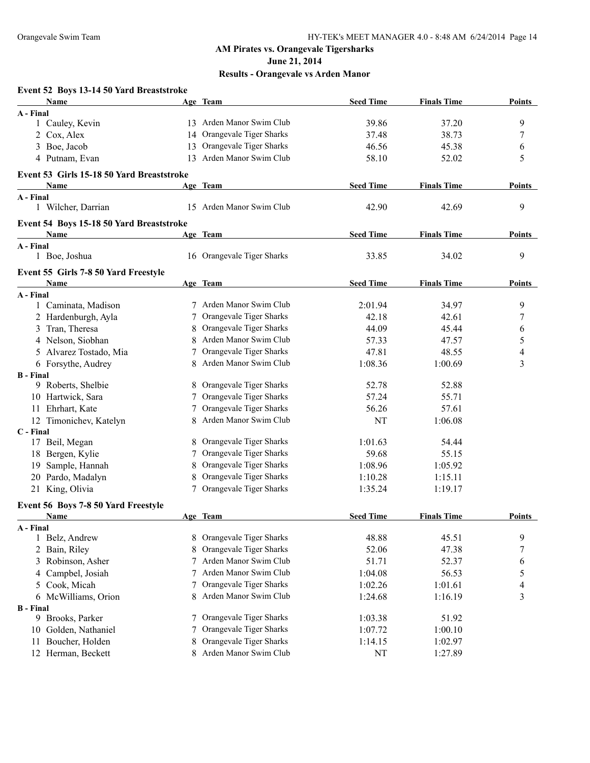**June 21, 2014**

#### **Results - Orangevale vs Arden Manor**

#### **Event 52 Boys 13-14 50 Yard Breaststroke Name Age Team Seed Time Finals Time Points A - Final** 1 Cauley, Kevin 13 Arden Manor Swim Club 39.86 37.20 9 2 Cox, Alex 14 Orangevale Tiger Sharks 37.48 38.73 7 3 Boe, Jacob 13 Orangevale Tiger Sharks 46.56 45.38 6 4 Putnam, Evan 13 Arden Manor Swim Club 58.10 52.02 5 **Event 53 Girls 15-18 50 Yard Breaststroke Name Age Team Seed Time Finals Time Points A - Final** 1 Wilcher, Darrian 15 Arden Manor Swim Club 42.90 42.69 9 **Event 54 Boys 15-18 50 Yard Breaststroke Name Age Team Seed Time Finals Time Points A - Final** 1 Boe, Joshua 16 Orangevale Tiger Sharks 33.85 34.02 9 **Event 55 Girls 7-8 50 Yard Freestyle Name Age Team Seed Time Finals Time Points A - Final** 1 Caminata, Madison 7 Arden Manor Swim Club 2:01.94 34.97 9 2 Hardenburgh, Ayla 7 Orangevale Tiger Sharks 42.18 42.61 7 3 Tran, Theresa 8 Orangevale Tiger Sharks 44.09 45.44 6 4 Nelson, Siobhan 8 8 Arden Manor Swim Club 57.33 47.57 5 5 Alvarez Tostado, Mia  $\begin{array}{ccc} 7 & \text{Orangevale Tiger Sharks} \\ 4 & 47.81 \end{array}$  48.55 4 6 Forsythe, Audrey 8 Arden Manor Swim Club 1:08.36 1:00.69 3 **B - Final** 9 Roberts, Shelbie 8 Orangevale Tiger Sharks 52.78 52.88 10 Hartwick, Sara 7 Orangevale Tiger Sharks 57.24 55.71 11 Ehrhart, Kate 7 Orangevale Tiger Sharks 56.26 57.61 12 Timonichev, Katelyn 8 Arden Manor Swim Club NT 1:06.08 **C - Final** 17 Beil, Megan 8 Orangevale Tiger Sharks 1:01.63 54.44 18 Bergen, Kylie 7 Orangevale Tiger Sharks 59.68 55.15 19 Sample, Hannah 8 Orangevale Tiger Sharks 1:08.96 1:05.92 20 Pardo, Madalyn 8 Orangevale Tiger Sharks 1:10.28 1:15.11 21 King, Olivia 7 Orangevale Tiger Sharks 1:35.24 1:19.17 **Event 56 Boys 7-8 50 Yard Freestyle Name Age Team Seed Time Finals Time Points A - Final** 1 Belz, Andrew 8 Orangevale Tiger Sharks 48.88 45.51 9 2 Bain, Riley 8 Orangevale Tiger Sharks 52.06 47.38 7 3 Robinson, Asher 7 Arden Manor Swim Club 51.71 52.37 6 4 Campbel, Josiah 7 Arden Manor Swim Club 1:04.08 56.53 5 5 Cook, Micah 7 Orangevale Tiger Sharks 1:02.26 1:01.61 4 6 McWilliams, Orion 8 Arden Manor Swim Club 1:24.68 1:16.19 3 **B - Final** 9 Brooks, Parker 7 Orangevale Tiger Sharks 1:03.38 51.92 10 Golden, Nathaniel 7 Orangevale Tiger Sharks 1:07.72 1:00.10 11 Boucher, Holden 8 Orangevale Tiger Sharks 1:14.15 1:02.97 12 Herman, Beckett 8 Arden Manor Swim Club NT 1:27.89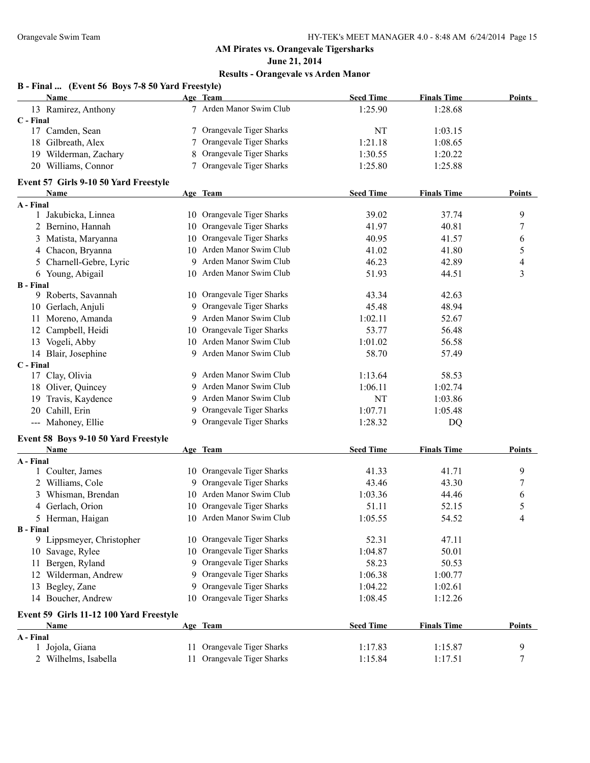**June 21, 2014**

| B - Final  (Event 56 Boys 7-8 50 Yard Freestyle) |  |  |  |
|--------------------------------------------------|--|--|--|
|                                                  |  |  |  |

| Name                                    |     | Age Team                   | <b>Seed Time</b> | <b>Finals Time</b> | <b>Points</b> |
|-----------------------------------------|-----|----------------------------|------------------|--------------------|---------------|
| 13 Ramirez, Anthony                     |     | 7 Arden Manor Swim Club    | 1:25.90          | 1:28.68            |               |
| C - Final                               |     |                            |                  |                    |               |
| 17 Camden, Sean                         | 7   | Orangevale Tiger Sharks    | NT               | 1:03.15            |               |
| 18 Gilbreath, Alex                      | 7   | Orangevale Tiger Sharks    | 1:21.18          | 1:08.65            |               |
| 19 Wilderman, Zachary                   | 8   | Orangevale Tiger Sharks    | 1:30.55          | 1:20.22            |               |
| 20 Williams, Connor                     |     | Orangevale Tiger Sharks    | 1:25.80          | 1:25.88            |               |
| Event 57 Girls 9-10 50 Yard Freestyle   |     |                            |                  |                    |               |
| Name                                    |     | Age Team                   | <b>Seed Time</b> | <b>Finals Time</b> | Points        |
| A - Final                               |     |                            |                  |                    |               |
| 1 Jakubicka, Linnea                     |     | 10 Orangevale Tiger Sharks | 39.02            | 37.74              | 9             |
| 2 Bernino, Hannah                       |     | 10 Orangevale Tiger Sharks | 41.97            | 40.81              | 7             |
| 3 Matista, Maryanna                     |     | 10 Orangevale Tiger Sharks | 40.95            | 41.57              | 6             |
| 4 Chacon, Bryanna                       |     | 10 Arden Manor Swim Club   | 41.02            | 41.80              | 5             |
| 5 Charnell-Gebre, Lyric                 |     | 9 Arden Manor Swim Club    | 46.23            | 42.89              | 4             |
| 6 Young, Abigail                        |     | 10 Arden Manor Swim Club   | 51.93            | 44.51              | 3             |
| <b>B</b> - Final                        |     |                            |                  |                    |               |
| 9 Roberts, Savannah                     |     | 10 Orangevale Tiger Sharks | 43.34            | 42.63              |               |
| 10 Gerlach, Anjuli                      |     | 9 Orangevale Tiger Sharks  | 45.48            | 48.94              |               |
| 11 Moreno, Amanda                       |     | 9 Arden Manor Swim Club    | 1:02.11          | 52.67              |               |
| Campbell, Heidi<br>12                   |     | 10 Orangevale Tiger Sharks | 53.77            | 56.48              |               |
| 13 Vogeli, Abby                         |     | 10 Arden Manor Swim Club   | 1:01.02          | 56.58              |               |
| 14 Blair, Josephine                     |     | 9 Arden Manor Swim Club    | 58.70            | 57.49              |               |
| C - Final                               |     |                            |                  |                    |               |
| 17 Clay, Olivia                         |     | 9 Arden Manor Swim Club    | 1:13.64          | 58.53              |               |
| 18 Oliver, Quincey                      |     | 9 Arden Manor Swim Club    | 1:06.11          | 1:02.74            |               |
| Travis, Kaydence<br>19                  |     | 9 Arden Manor Swim Club    | <b>NT</b>        | 1:03.86            |               |
| Cahill, Erin<br>20                      |     | 9 Orangevale Tiger Sharks  | 1:07.71          | 1:05.48            |               |
| --- Mahoney, Ellie                      |     | 9 Orangevale Tiger Sharks  | 1:28.32          | DQ                 |               |
| Event 58 Boys 9-10 50 Yard Freestyle    |     |                            |                  |                    |               |
| Name                                    |     | Age Team                   | <b>Seed Time</b> | <b>Finals Time</b> | <b>Points</b> |
| A - Final                               |     |                            |                  |                    |               |
| 1 Coulter, James                        |     | 10 Orangevale Tiger Sharks | 41.33            | 41.71              | 9             |
| 2 Williams, Cole                        |     | 9 Orangevale Tiger Sharks  | 43.46            | 43.30              | 7             |
| 3 Whisman, Brendan                      |     | 10 Arden Manor Swim Club   | 1:03.36          | 44.46              | 6             |
| 4 Gerlach, Orion                        |     | 10 Orangevale Tiger Sharks | 51.11            | 52.15              | 5             |
| 5 Herman, Haigan                        |     | 10 Arden Manor Swim Club   | 1:05.55          | 54.52              | 4             |
| <b>B</b> - Final                        |     |                            |                  |                    |               |
| 9 Lippsmeyer, Christopher               |     | 10 Orangevale Tiger Sharks | 52.31            | 47.11              |               |
| 10 Savage, Rylee                        |     | 10 Orangevale Tiger Sharks | 1:04.87          | 50.01              |               |
| 11 Bergen, Ryland                       |     | 9 Orangevale Tiger Sharks  | 58.23            | 50.53              |               |
| 12 Wilderman, Andrew                    |     | 9 Orangevale Tiger Sharks  | 1:06.38          | 1:00.77            |               |
| 13 Begley, Zane                         |     | 9 Orangevale Tiger Sharks  | 1:04.22          | 1:02.61            |               |
| 14 Boucher, Andrew                      |     | 10 Orangevale Tiger Sharks | 1:08.45          | 1:12.26            |               |
| Event 59 Girls 11-12 100 Yard Freestyle |     |                            |                  |                    |               |
| Name                                    |     | Age Team                   | <b>Seed Time</b> | <b>Finals Time</b> | <b>Points</b> |
| A - Final                               |     |                            |                  |                    |               |
| 1 Jojola, Giana                         | 11. | Orangevale Tiger Sharks    | 1:17.83          | 1:15.87            | 9             |
| 2 Wilhelms, Isabella                    |     | 11 Orangevale Tiger Sharks | 1:15.84          | 1:17.51            | 7             |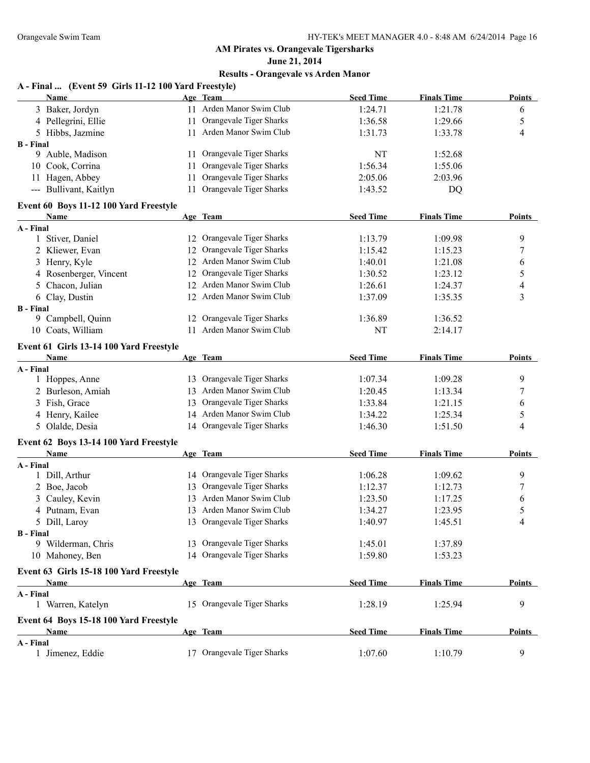**June 21, 2014**

| A - Final  (Event 59 Girls 11-12 100 Yard Freestyle) |     |                                      |                  |                    |               |
|------------------------------------------------------|-----|--------------------------------------|------------------|--------------------|---------------|
| Name                                                 |     | Age Team<br>11 Arden Manor Swim Club | <b>Seed Time</b> | <b>Finals Time</b> | Points        |
| 3 Baker, Jordyn                                      |     | Orangevale Tiger Sharks              | 1:24.71          | 1:21.78            | 6             |
| 4 Pellegrini, Ellie                                  | 11  | 11 Arden Manor Swim Club             | 1:36.58          | 1:29.66            | 5             |
| 5 Hibbs, Jazmine<br><b>B</b> - Final                 |     |                                      | 1:31.73          | 1:33.78            | 4             |
| 9 Auble, Madison                                     | 11. | Orangevale Tiger Sharks              | NT               | 1:52.68            |               |
| 10 Cook, Corrina                                     | 11  | Orangevale Tiger Sharks              | 1:56.34          | 1:55.06            |               |
| 11 Hagen, Abbey                                      | 11  | Orangevale Tiger Sharks              | 2:05.06          | 2:03.96            |               |
| --- Bullivant, Kaitlyn                               | 11  | Orangevale Tiger Sharks              | 1:43.52          | DQ                 |               |
|                                                      |     |                                      |                  |                    |               |
| Event 60 Boys 11-12 100 Yard Freestyle<br>Name       |     | Age Team                             | <b>Seed Time</b> | <b>Finals Time</b> | <b>Points</b> |
| A - Final                                            |     |                                      |                  |                    |               |
| 1 Stiver, Daniel                                     |     | 12 Orangevale Tiger Sharks           | 1:13.79          | 1:09.98            | 9             |
| 2 Kliewer, Evan                                      |     | 12 Orangevale Tiger Sharks           | 1:15.42          | 1:15.23            | 7             |
| 3 Henry, Kyle                                        |     | 12 Arden Manor Swim Club             | 1:40.01          | 1:21.08            | 6             |
| 4 Rosenberger, Vincent                               |     | 12 Orangevale Tiger Sharks           | 1:30.52          | 1:23.12            | 5             |
| Chacon, Julian<br>5                                  |     | 12 Arden Manor Swim Club             | 1:26.61          | 1:24.37            | 4             |
| 6 Clay, Dustin                                       |     | 12 Arden Manor Swim Club             | 1:37.09          | 1:35.35            | 3             |
| <b>B</b> - Final                                     |     |                                      |                  |                    |               |
| 9 Campbell, Quinn                                    |     | 12 Orangevale Tiger Sharks           | 1:36.89          | 1:36.52            |               |
| 10 Coats, William                                    |     | 11 Arden Manor Swim Club             | NT               | 2:14.17            |               |
| Event 61 Girls 13-14 100 Yard Freestyle              |     |                                      |                  |                    |               |
| Name                                                 |     | Age Team                             | <b>Seed Time</b> | <b>Finals Time</b> | <b>Points</b> |
| A - Final                                            |     |                                      |                  |                    |               |
| 1 Hoppes, Anne                                       |     | 13 Orangevale Tiger Sharks           | 1:07.34          | 1:09.28            | 9             |
| 2 Burleson, Amiah                                    |     | 13 Arden Manor Swim Club             | 1:20.45          | 1:13.34            | 7             |
| 3 Fish, Grace                                        |     | 13 Orangevale Tiger Sharks           | 1:33.84          | 1:21.15            | 6             |
| 4 Henry, Kailee                                      |     | 14 Arden Manor Swim Club             | 1:34.22          | 1:25.34            | 5             |
| 5 Olalde, Desia                                      |     | 14 Orangevale Tiger Sharks           | 1:46.30          | 1:51.50            | 4             |
| Event 62 Boys 13-14 100 Yard Freestyle               |     |                                      |                  |                    |               |
| Name                                                 |     | Age Team                             | <b>Seed Time</b> | <b>Finals Time</b> | <b>Points</b> |
| A - Final<br>1 Dill, Arthur                          |     | 14 Orangevale Tiger Sharks           | 1:06.28          | 1:09.62            | 9             |
| 2 Boe, Jacob                                         | 13  | Orangevale Tiger Sharks              | 1:12.37          | 1:12.73            | 7             |
| 3 Cauley, Kevin                                      |     | 13 Arden Manor Swim Club             | 1:23.50          | 1:17.25            | 6             |
| 4 Putnam, Evan                                       |     | 13 Arden Manor Swim Club             | 1:34.27          | 1:23.95            | 5             |
| 5 Dill, Laroy                                        |     | 13 Orangevale Tiger Sharks           | 1:40.97          | 1:45.51            | 4             |
| <b>B</b> - Final                                     |     |                                      |                  |                    |               |
| 9 Wilderman, Chris                                   |     | 13 Orangevale Tiger Sharks           | 1:45.01          | 1:37.89            |               |
| 10 Mahoney, Ben                                      |     | 14 Orangevale Tiger Sharks           | 1:59.80          | 1:53.23            |               |
| Event 63 Girls 15-18 100 Yard Freestyle              |     |                                      |                  |                    |               |
| Name                                                 |     | Age Team                             | <b>Seed Time</b> | <b>Finals Time</b> | <b>Points</b> |
| A - Final                                            |     |                                      |                  |                    |               |
| 1 Warren, Katelyn                                    |     | 15 Orangevale Tiger Sharks           | 1:28.19          | 1:25.94            | 9             |
| Event 64 Boys 15-18 100 Yard Freestyle               |     |                                      |                  |                    |               |
| Name                                                 |     | Age Team                             | <b>Seed Time</b> | <b>Finals Time</b> | <b>Points</b> |
| A - Final                                            |     |                                      |                  |                    |               |
| 1 Jimenez, Eddie                                     |     | 17 Orangevale Tiger Sharks           | 1:07.60          | 1:10.79            | 9             |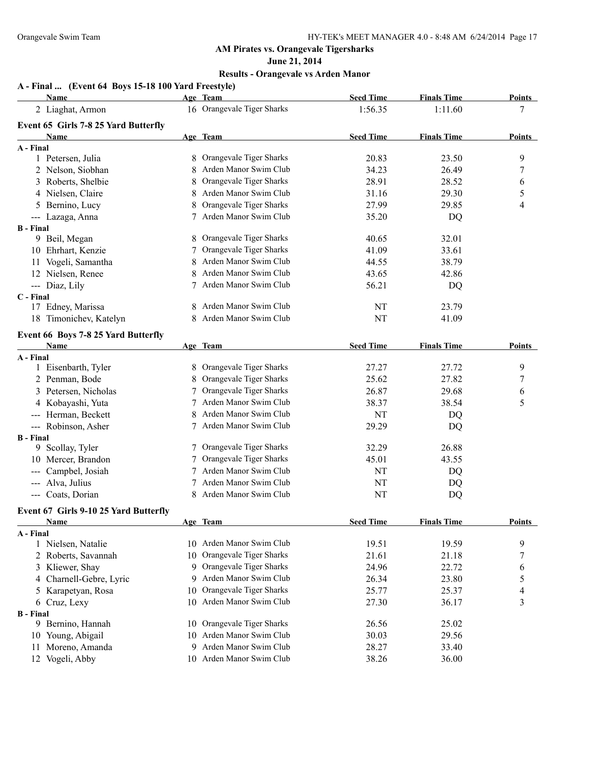**June 21, 2014**

| A - Final  (Event 64 Boys 15-18 100 Yard Freestyle) |  |  |  |
|-----------------------------------------------------|--|--|--|
|                                                     |  |  |  |

|                            | <b>Name</b>                           |    | Age Team                   | <b>Seed Time</b> | <b>Finals Time</b> | <b>Points</b>    |
|----------------------------|---------------------------------------|----|----------------------------|------------------|--------------------|------------------|
|                            | 2 Liaghat, Armon                      |    | 16 Orangevale Tiger Sharks | 1:56.35          | 1:11.60            | 7                |
|                            | Event 65 Girls 7-8 25 Yard Butterfly  |    |                            |                  |                    |                  |
|                            | Name                                  |    | Age Team                   | <b>Seed Time</b> | <b>Finals Time</b> | <b>Points</b>    |
| A - Final                  |                                       |    |                            |                  |                    |                  |
|                            | 1 Petersen, Julia                     |    | 8 Orangevale Tiger Sharks  | 20.83            | 23.50              | 9                |
|                            | 2 Nelson, Siobhan                     |    | Arden Manor Swim Club      | 34.23            | 26.49              | $\boldsymbol{7}$ |
|                            | 3 Roberts, Shelbie                    |    | Orangevale Tiger Sharks    | 28.91            | 28.52              | 6                |
|                            | 4 Nielsen, Claire                     |    | Arden Manor Swim Club      | 31.16            | 29.30              | 5                |
|                            | 5 Bernino, Lucy                       |    | Orangevale Tiger Sharks    | 27.99            | 29.85              | $\overline{4}$   |
|                            | --- Lazaga, Anna                      |    | Arden Manor Swim Club      | 35.20            | DQ                 |                  |
| <b>B</b> - Final           |                                       |    |                            |                  |                    |                  |
|                            | 9 Beil, Megan                         |    | Orangevale Tiger Sharks    | 40.65            | 32.01              |                  |
|                            | 10 Ehrhart, Kenzie                    |    | Orangevale Tiger Sharks    | 41.09            | 33.61              |                  |
|                            | 11 Vogeli, Samantha                   |    | Arden Manor Swim Club      | 44.55            | 38.79              |                  |
|                            | 12 Nielsen, Renee                     |    | Arden Manor Swim Club      | 43.65            | 42.86              |                  |
|                            | --- Diaz, Lily                        | 7  | Arden Manor Swim Club      | 56.21            | DQ                 |                  |
| C - Final                  |                                       |    |                            |                  |                    |                  |
|                            | 17 Edney, Marissa                     | 8  | Arden Manor Swim Club      | NT               | 23.79              |                  |
|                            | 18 Timonichev, Katelyn                |    | Arden Manor Swim Club      | NT               | 41.09              |                  |
|                            | Event 66 Boys 7-8 25 Yard Butterfly   |    |                            |                  |                    |                  |
|                            | Name                                  |    | Age Team                   | <b>Seed Time</b> | <b>Finals Time</b> | Points           |
| A - Final                  |                                       |    |                            |                  |                    |                  |
|                            | 1 Eisenbarth, Tyler                   |    | 8 Orangevale Tiger Sharks  | 27.27            | 27.72              | 9                |
|                            | 2 Penman, Bode                        |    | Orangevale Tiger Sharks    | 25.62            | 27.82              | 7                |
|                            | 3 Petersen, Nicholas                  |    | Orangevale Tiger Sharks    | 26.87            | 29.68              | 6                |
|                            | 4 Kobayashi, Yuta                     |    | Arden Manor Swim Club      | 38.37            | 38.54              | 5                |
|                            | --- Herman, Beckett                   |    | Arden Manor Swim Club      | NT               | DQ                 |                  |
|                            | --- Robinson, Asher                   |    | 7 Arden Manor Swim Club    | 29.29            | DQ                 |                  |
| <b>B</b> - Final           |                                       |    |                            |                  |                    |                  |
|                            | 9 Scollay, Tyler                      |    | Orangevale Tiger Sharks    | 32.29            | 26.88              |                  |
|                            | 10 Mercer, Brandon                    |    | Orangevale Tiger Sharks    | 45.01            | 43.55              |                  |
|                            | Campbel, Josiah                       |    | Arden Manor Swim Club      | NT               | DQ                 |                  |
| $\qquad \qquad \text{---}$ | Alva, Julius                          |    | Arden Manor Swim Club      | NT               | DQ                 |                  |
|                            | --- Coats, Dorian                     |    | Arden Manor Swim Club      | NT               | DQ                 |                  |
|                            | Event 67 Girls 9-10 25 Yard Butterfly |    |                            |                  |                    |                  |
|                            | Name                                  |    | Age Team                   | <b>Seed Time</b> | <b>Finals Time</b> | <b>Points</b>    |
| A - Final                  |                                       |    |                            |                  |                    |                  |
|                            | 1 Nielsen, Natalie                    | 10 | Arden Manor Swim Club      | 19.51            | 19.59              | 9                |
|                            | 2 Roberts, Savannah                   | 10 | Orangevale Tiger Sharks    | 21.61            | 21.18              | $\boldsymbol{7}$ |
|                            | 3 Kliewer, Shay                       | 9  | Orangevale Tiger Sharks    | 24.96            | 22.72              | 6                |
| 4                          | Charnell-Gebre, Lyric                 | 9  | Arden Manor Swim Club      | 26.34            | 23.80              | $\sqrt{5}$       |
|                            | 5 Karapetyan, Rosa                    | 10 | Orangevale Tiger Sharks    | 25.77            | 25.37              | $\overline{4}$   |
|                            | 6 Cruz, Lexy                          | 10 | Arden Manor Swim Club      | 27.30            | 36.17              | 3                |
| <b>B</b> - Final           |                                       |    |                            |                  |                    |                  |
|                            | 9 Bernino, Hannah                     | 10 | Orangevale Tiger Sharks    | 26.56            | 25.02              |                  |
|                            | 10 Young, Abigail                     | 10 | Arden Manor Swim Club      | 30.03            | 29.56              |                  |
| 11                         | Moreno, Amanda                        | 9  | Arden Manor Swim Club      | 28.27            | 33.40              |                  |
|                            | 12 Vogeli, Abby                       |    | 10 Arden Manor Swim Club   | 38.26            | 36.00              |                  |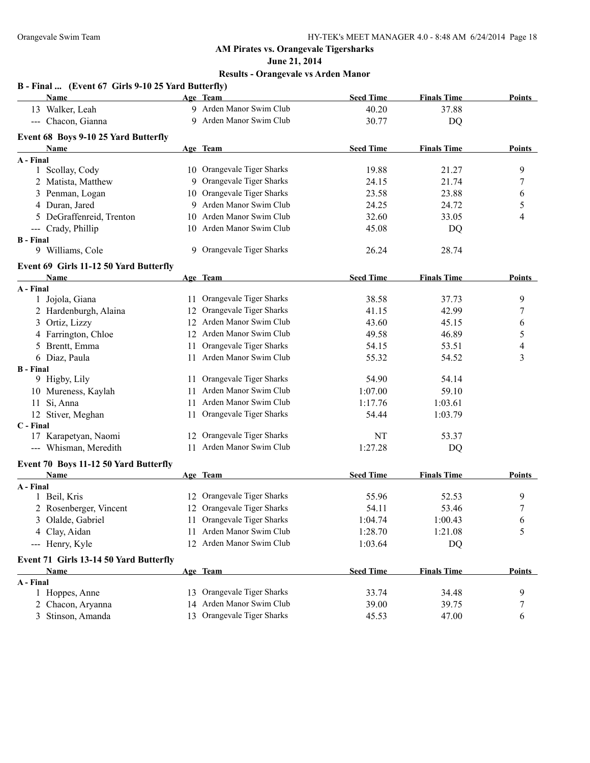**June 21, 2014**

|                  | B - Final  (Event 67 Girls 9-10 25 Yard Butterfly) |     |                            |                  |                    |                |
|------------------|----------------------------------------------------|-----|----------------------------|------------------|--------------------|----------------|
|                  | Name                                               |     | Age Team                   | <b>Seed Time</b> | <b>Finals Time</b> | Points         |
|                  | 13 Walker, Leah                                    |     | 9 Arden Manor Swim Club    | 40.20            | 37.88              |                |
|                  | --- Chacon, Gianna                                 |     | 9 Arden Manor Swim Club    | 30.77            | <b>DQ</b>          |                |
|                  | Event 68 Boys 9-10 25 Yard Butterfly               |     |                            |                  |                    |                |
|                  | Name                                               |     | Age Team                   | <b>Seed Time</b> | <b>Finals Time</b> | Points         |
| A - Final        |                                                    |     |                            |                  |                    |                |
|                  | 1 Scollay, Cody                                    |     | 10 Orangevale Tiger Sharks | 19.88            | 21.27              | 9              |
|                  | 2 Matista, Matthew                                 |     | 9 Orangevale Tiger Sharks  | 24.15            | 21.74              | $\overline{7}$ |
|                  | 3 Penman, Logan                                    |     | 10 Orangevale Tiger Sharks | 23.58            | 23.88              | 6              |
|                  | 4 Duran, Jared                                     |     | 9 Arden Manor Swim Club    | 24.25            | 24.72              | 5              |
|                  | 5 DeGraffenreid, Trenton                           |     | 10 Arden Manor Swim Club   | 32.60            | 33.05              | 4              |
|                  | --- Crady, Phillip                                 |     | 10 Arden Manor Swim Club   | 45.08            | DQ                 |                |
| <b>B</b> - Final |                                                    |     |                            |                  |                    |                |
|                  | 9 Williams, Cole                                   |     | 9 Orangevale Tiger Sharks  | 26.24            | 28.74              |                |
|                  | Event 69 Girls 11-12 50 Yard Butterfly             |     |                            |                  |                    |                |
|                  | <b>Name</b>                                        |     | Age Team                   | <b>Seed Time</b> | <b>Finals Time</b> | Points         |
| A - Final        |                                                    |     |                            |                  |                    |                |
|                  | 1 Jojola, Giana                                    |     | 11 Orangevale Tiger Sharks | 38.58            | 37.73              | 9              |
|                  | 2 Hardenburgh, Alaina                              |     | 12 Orangevale Tiger Sharks | 41.15            | 42.99              | 7              |
|                  | 3 Ortiz, Lizzy                                     |     | 12 Arden Manor Swim Club   | 43.60            | 45.15              | 6              |
|                  | 4 Farrington, Chloe                                |     | 12 Arden Manor Swim Club   | 49.58            | 46.89              | 5              |
|                  | 5 Brentt, Emma                                     | 11  | Orangevale Tiger Sharks    | 54.15            | 53.51              | $\overline{4}$ |
|                  | 6 Diaz, Paula                                      |     | 11 Arden Manor Swim Club   | 55.32            | 54.52              | 3              |
| <b>B</b> - Final |                                                    |     |                            |                  |                    |                |
|                  | 9 Higby, Lily                                      | 11. | Orangevale Tiger Sharks    | 54.90            | 54.14              |                |
|                  | 10 Mureness, Kaylah                                |     | 11 Arden Manor Swim Club   | 1:07.00          | 59.10              |                |
|                  | 11 Si, Anna                                        |     | 11 Arden Manor Swim Club   | 1:17.76          | 1:03.61            |                |
|                  | 12 Stiver, Meghan                                  |     | 11 Orangevale Tiger Sharks | 54.44            | 1:03.79            |                |
| C - Final        |                                                    |     |                            |                  |                    |                |
|                  | 17 Karapetyan, Naomi                               |     | 12 Orangevale Tiger Sharks | NT               | 53.37              |                |
|                  | --- Whisman, Meredith                              |     | 11 Arden Manor Swim Club   | 1:27.28          | DQ                 |                |
|                  | Event 70 Boys 11-12 50 Yard Butterfly              |     |                            |                  |                    |                |
|                  | Name                                               |     | Age Team                   | <b>Seed Time</b> | <b>Finals Time</b> | Points         |
| A - Final        |                                                    |     |                            |                  |                    |                |
|                  | 1 Beil, Kris                                       |     | 12 Orangevale Tiger Sharks | 55.96            | 52.53              | 9              |
|                  | 2 Rosenberger, Vincent                             |     | 12 Orangevale Tiger Sharks | 54.11            | 53.46              | 7              |
|                  | 3 Olalde, Gabriel                                  |     | Orangevale Tiger Sharks    | 1:04.74          | 1:00.43            | 6              |
|                  | 4 Clay, Aidan                                      | 11  | Arden Manor Swim Club      | 1:28.70          | 1:21.08            | 5              |
|                  | --- Henry, Kyle                                    |     | 12 Arden Manor Swim Club   | 1:03.64          | DQ                 |                |
|                  | Event 71 Girls 13-14 50 Yard Butterfly             |     |                            |                  |                    |                |
|                  | Name                                               |     | Age Team                   | <b>Seed Time</b> | <b>Finals Time</b> | <b>Points</b>  |
| A - Final        |                                                    |     |                            |                  |                    |                |
|                  | 1 Hoppes, Anne                                     |     | 13 Orangevale Tiger Sharks | 33.74            | 34.48              | 9              |
|                  | 2 Chacon, Aryanna                                  |     | 14 Arden Manor Swim Club   | 39.00            | 39.75              | $\tau$         |
|                  | 3 Stinson, Amanda                                  |     | 13 Orangevale Tiger Sharks | 45.53            | 47.00              | 6              |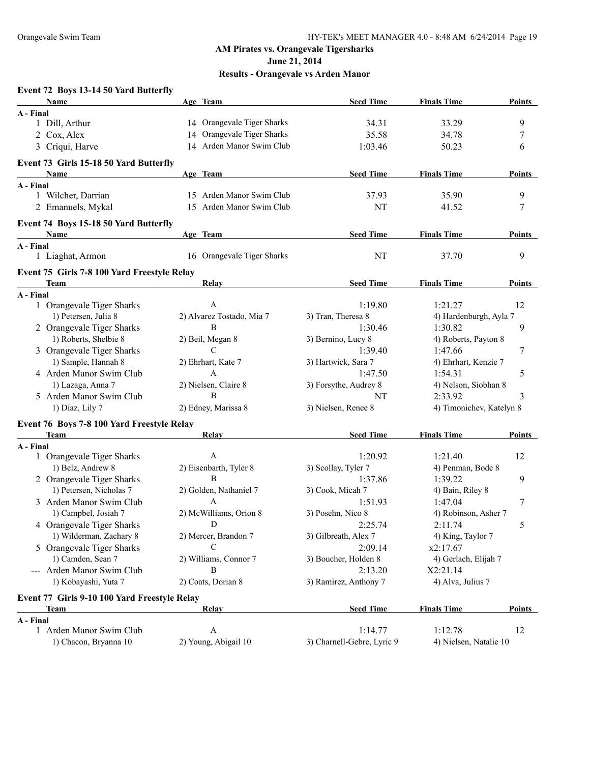**June 21, 2014**

| Event 72 Boys 13-14 50 Yard Butterfly        |                            |                            |                          |               |
|----------------------------------------------|----------------------------|----------------------------|--------------------------|---------------|
| Name                                         | Age Team                   | <b>Seed Time</b>           | <b>Finals Time</b>       | <b>Points</b> |
| A - Final<br>1 Dill, Arthur                  | 14 Orangevale Tiger Sharks | 34.31                      | 33.29                    | 9             |
| 2 Cox, Alex                                  | 14 Orangevale Tiger Sharks | 35.58                      | 34.78                    | 7             |
|                                              | 14 Arden Manor Swim Club   |                            |                          |               |
| 3 Criqui, Harve                              |                            | 1:03.46                    | 50.23                    | 6             |
| Event 73 Girls 15-18 50 Yard Butterfly       |                            |                            |                          |               |
| Name                                         | Age Team                   | <b>Seed Time</b>           | <b>Finals Time</b>       | <b>Points</b> |
| A - Final                                    |                            |                            |                          |               |
| 1 Wilcher, Darrian                           | 15 Arden Manor Swim Club   | 37.93                      | 35.90                    | 9             |
| 2 Emanuels, Mykal                            | 15 Arden Manor Swim Club   | <b>NT</b>                  | 41.52                    | 7             |
| Event 74 Boys 15-18 50 Yard Butterfly        |                            |                            |                          |               |
| <b>Name</b>                                  | Age Team                   | <b>Seed Time</b>           | <b>Finals Time</b>       | <b>Points</b> |
| A - Final                                    |                            |                            |                          |               |
| 1 Liaghat, Armon                             | 16 Orangevale Tiger Sharks | NT                         | 37.70                    | 9             |
| Event 75 Girls 7-8 100 Yard Freestyle Relay  |                            |                            |                          |               |
| <b>Team</b>                                  | Relay                      | <b>Seed Time</b>           | <b>Finals Time</b>       | Points        |
| A - Final                                    |                            |                            |                          |               |
| 1 Orangevale Tiger Sharks                    | $\mathbf{A}$               | 1:19.80                    | 1:21.27                  | 12            |
| 1) Petersen, Julia 8                         | 2) Alvarez Tostado, Mia 7  | 3) Tran, Theresa 8         | 4) Hardenburgh, Ayla 7   |               |
| 2 Orangevale Tiger Sharks                    | B                          | 1:30.46                    | 1:30.82                  | 9             |
| 1) Roberts, Shelbie 8                        | 2) Beil, Megan 8           | 3) Bernino, Lucy 8         | 4) Roberts, Payton 8     |               |
| 3 Orangevale Tiger Sharks                    | $\mathcal{C}$              | 1:39.40                    | 1:47.66                  | 7             |
| 1) Sample, Hannah 8                          | 2) Ehrhart, Kate 7         | 3) Hartwick, Sara 7        | 4) Ehrhart, Kenzie 7     |               |
| 4 Arden Manor Swim Club                      | $\mathbf{A}$               | 1:47.50                    | 1:54.31                  | 5             |
| 1) Lazaga, Anna 7                            | 2) Nielsen, Claire 8       | 3) Forsythe, Audrey 8      | 4) Nelson, Siobhan 8     |               |
| 5 Arden Manor Swim Club                      | B                          | NT                         | 2:33.92                  | 3             |
| 1) Diaz, Lily 7                              | 2) Edney, Marissa 8        | 3) Nielsen, Renee 8        | 4) Timonichev, Katelyn 8 |               |
| Event 76 Boys 7-8 100 Yard Freestyle Relay   |                            |                            |                          |               |
| Team                                         | <b>Relay</b>               | <b>Seed Time</b>           | <b>Finals Time</b>       | <b>Points</b> |
| A - Final                                    |                            |                            |                          |               |
| 1 Orangevale Tiger Sharks                    | $\mathbf{A}$               | 1:20.92                    | 1:21.40                  | 12            |
| 1) Belz, Andrew 8                            | 2) Eisenbarth, Tyler 8     | 3) Scollay, Tyler 7        | 4) Penman, Bode 8        |               |
| 2 Orangevale Tiger Sharks                    | <sub>B</sub>               | 1:37.86                    | 1:39.22                  | 9             |
| 1) Petersen, Nicholas 7                      | 2) Golden, Nathaniel 7     | 3) Cook, Micah 7           | 4) Bain, Riley 8         |               |
| 3 Arden Manor Swim Club                      | $\mathbf{A}$               | 1:51.93                    | 1:47.04                  | 7             |
| 1) Campbel, Josiah 7                         | 2) McWilliams, Orion 8     | 3) Posehn, Nico 8          | 4) Robinson, Asher 7     |               |
| 4 Orangevale Tiger Sharks                    | D                          | 2:25.74                    | 2:11.74                  | 5             |
| 1) Wilderman, Zachary 8                      | 2) Mercer, Brandon 7       | 3) Gilbreath, Alex 7       | 4) King, Taylor 7        |               |
| 5 Orangevale Tiger Sharks                    | С                          | 2:09.14                    | x2:17.67                 |               |
| 1) Camden, Sean 7                            | 2) Williams, Connor 7      | 3) Boucher, Holden 8       | 4) Gerlach, Elijah 7     |               |
| --- Arden Manor Swim Club                    | B                          | 2:13.20                    | X2:21.14                 |               |
| 1) Kobayashi, Yuta 7                         | 2) Coats, Dorian 8         | 3) Ramirez, Anthony 7      | 4) Alva, Julius 7        |               |
| Event 77 Girls 9-10 100 Yard Freestyle Relay |                            |                            |                          |               |
| Team                                         | <b>Relay</b>               | <b>Seed Time</b>           | <b>Finals Time</b>       | <b>Points</b> |
| A - Final                                    |                            |                            |                          |               |
| 1 Arden Manor Swim Club                      | $\mathbf{A}$               | 1:14.77                    | 1:12.78                  | 12            |
| 1) Chacon, Bryanna 10                        | 2) Young, Abigail 10       | 3) Charnell-Gebre, Lyric 9 | 4) Nielsen, Natalie 10   |               |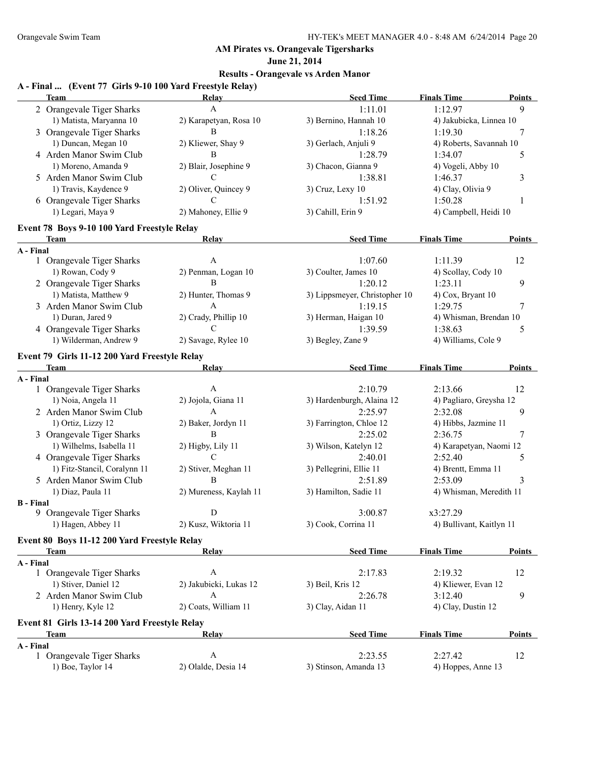**June 21, 2014**

## **Results - Orangevale vs Arden Manor**

#### **A - Final ... (Event 77 Girls 9-10 100 Yard Freestyle Relay)**

|                  | <b>Team</b>                                   | <b>Relay</b>                         | <b>Seed Time</b>              | <b>Finals Time</b>       | <b>Points</b> |
|------------------|-----------------------------------------------|--------------------------------------|-------------------------------|--------------------------|---------------|
|                  | 2 Orangevale Tiger Sharks                     | A                                    | 1:11.01                       | 1:12.97                  | 9             |
|                  | 1) Matista, Maryanna 10                       | 2) Karapetyan, Rosa 10               | 3) Bernino, Hannah 10         | 4) Jakubicka, Linnea 10  |               |
|                  | 3 Orangevale Tiger Sharks                     | B                                    | 1:18.26                       | 1:19.30                  | 7             |
|                  | 1) Duncan, Megan 10                           | 2) Kliewer, Shay 9                   | 3) Gerlach, Anjuli 9          | 4) Roberts, Savannah 10  |               |
|                  | 4 Arden Manor Swim Club                       | B                                    | 1:28.79                       | 1:34.07                  | 5             |
|                  | 1) Moreno, Amanda 9                           | 2) Blair, Josephine 9                | 3) Chacon, Gianna 9           | 4) Vogeli, Abby 10       |               |
|                  | 5 Arden Manor Swim Club                       | C                                    | 1:38.81                       | 1:46.37                  | 3             |
|                  | 1) Travis, Kaydence 9                         | 2) Oliver, Quincey 9                 | 3) Cruz, Lexy 10              | 4) Clay, Olivia 9        |               |
|                  | 6 Orangevale Tiger Sharks                     | C                                    | 1:51.92                       | 1:50.28                  | 1             |
|                  | 1) Legari, Maya 9                             | 2) Mahoney, Ellie 9                  | 3) Cahill, Erin 9             | 4) Campbell, Heidi 10    |               |
|                  | Event 78 Boys 9-10 100 Yard Freestyle Relay   |                                      |                               |                          |               |
|                  | Team                                          | Relay                                | <b>Seed Time</b>              | <b>Finals Time</b>       | <b>Points</b> |
| A - Final        |                                               |                                      |                               |                          |               |
|                  | 1 Orangevale Tiger Sharks                     | A                                    | 1:07.60                       | 1:11.39                  | 12            |
|                  | 1) Rowan, Cody 9                              | 2) Penman, Logan 10                  | 3) Coulter, James 10          | 4) Scollay, Cody 10      |               |
|                  | 2 Orangevale Tiger Sharks                     | B                                    | 1:20.12                       | 1:23.11                  | 9             |
|                  | 1) Matista, Matthew 9                         | 2) Hunter, Thomas 9                  | 3) Lippsmeyer, Christopher 10 | 4) Cox, Bryant 10        |               |
|                  | 3 Arden Manor Swim Club                       | A                                    | 1:19.15                       | 1:29.75                  | 7             |
|                  | 1) Duran, Jared 9                             | 2) Crady, Phillip 10                 | 3) Herman, Haigan 10          | 4) Whisman, Brendan 10   |               |
|                  | 4 Orangevale Tiger Sharks                     | C                                    | 1:39.59                       | 1:38.63                  | 5             |
|                  | 1) Wilderman, Andrew 9                        | 2) Savage, Rylee 10                  | 3) Begley, Zane 9             | 4) Williams, Cole 9      |               |
|                  | Event 79 Girls 11-12 200 Yard Freestyle Relay |                                      |                               |                          |               |
|                  | <b>Team</b>                                   | Relay                                | <b>Seed Time</b>              | <b>Finals Time</b>       | <b>Points</b> |
| A - Final        |                                               |                                      |                               |                          |               |
|                  | 1 Orangevale Tiger Sharks                     | A                                    | 2:10.79                       | 2:13.66                  | 12            |
|                  | 1) Noia, Angela 11                            | 2) Jojola, Giana 11                  | 3) Hardenburgh, Alaina 12     | 4) Pagliaro, Greysha 12  |               |
|                  | 2 Arden Manor Swim Club                       | A                                    | 2:25.97                       | 2:32.08                  | 9             |
|                  | 1) Ortiz, Lizzy 12                            | 2) Baker, Jordyn 11                  | 3) Farrington, Chloe 12       | 4) Hibbs, Jazmine 11     |               |
|                  | 3 Orangevale Tiger Sharks                     | B                                    | 2:25.02                       | 2:36.75                  | 7             |
|                  | 1) Wilhelms, Isabella 11                      | 2) Higby, Lily 11                    | 3) Wilson, Katelyn 12         | 4) Karapetyan, Naomi 12  |               |
|                  | 4 Orangevale Tiger Sharks                     | C                                    | 2:40.01                       | 2:52.40                  | 5             |
|                  | 1) Fitz-Stancil, Coralynn 11                  | 2) Stiver, Meghan 11<br><sub>R</sub> | 3) Pellegrini, Ellie 11       | 4) Brentt, Emma 11       |               |
|                  | 5 Arden Manor Swim Club                       |                                      | 2:51.89                       | 2:53.09                  | 3             |
| <b>B</b> - Final | 1) Diaz, Paula 11                             | 2) Mureness, Kaylah 11               | 3) Hamilton, Sadie 11         | 4) Whisman, Meredith 11  |               |
|                  | 9 Orangevale Tiger Sharks                     | D                                    | 3:00.87                       | x3:27.29                 |               |
|                  | 1) Hagen, Abbey 11                            | 2) Kusz, Wiktoria 11                 | 3) Cook, Corrina 11           | 4) Bullivant, Kaitlyn 11 |               |
|                  | Event 80 Boys 11-12 200 Yard Freestyle Relay  |                                      |                               |                          |               |
|                  | Team                                          | <b>Relay</b>                         | <b>Seed Time</b>              | <b>Finals Time</b>       | Points        |
| A - Final        |                                               |                                      |                               |                          |               |
|                  | 1 Orangevale Tiger Sharks                     | $\boldsymbol{A}$                     | 2:17.83                       | 2:19.32                  | 12            |
|                  | 1) Stiver, Daniel 12                          | 2) Jakubicki, Lukas 12               | 3) Beil, Kris 12              | 4) Kliewer, Evan 12      |               |
|                  | 2 Arden Manor Swim Club                       | $\boldsymbol{A}$                     | 2:26.78                       | 3:12.40                  | 9             |
|                  | 1) Henry, Kyle 12                             | 2) Coats, William 11                 | 3) Clay, Aidan 11             | 4) Clay, Dustin 12       |               |
|                  | Event 81 Girls 13-14 200 Yard Freestyle Relay |                                      |                               |                          |               |
|                  | <b>Team</b>                                   | Relay                                | <b>Seed Time</b>              | <b>Finals Time</b>       | <b>Points</b> |
| A - Final        |                                               |                                      |                               |                          |               |
|                  | 1 Orangevale Tiger Sharks                     | $\boldsymbol{A}$                     | 2:23.55                       | 2:27.42                  | 12            |
|                  | 1) Boe, Taylor 14                             | 2) Olalde, Desia 14                  | 3) Stinson, Amanda 13         | 4) Hoppes, Anne 13       |               |